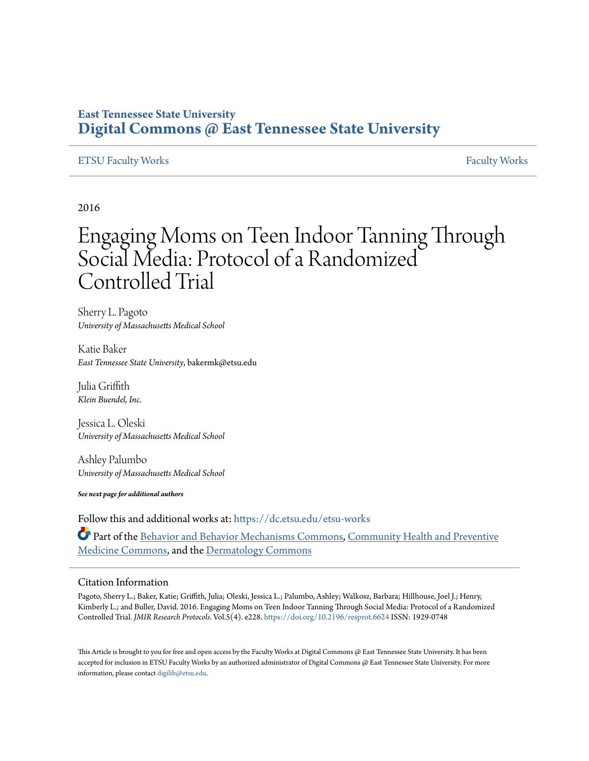# **East Tennessee State University [Digital Commons @ East Tennessee State University](https://dc.etsu.edu?utm_source=dc.etsu.edu%2Fetsu-works%2F138&utm_medium=PDF&utm_campaign=PDFCoverPages)**

#### [ETSU Faculty Works](https://dc.etsu.edu/etsu-works?utm_source=dc.etsu.edu%2Fetsu-works%2F138&utm_medium=PDF&utm_campaign=PDFCoverPages) [Faculty Works](https://dc.etsu.edu/faculty-works?utm_source=dc.etsu.edu%2Fetsu-works%2F138&utm_medium=PDF&utm_campaign=PDFCoverPages) Faculty Works Faculty Works Faculty Works Faculty Works Faculty Works Faculty Works Faculty Morks Faculty Morks Faculty Morks Faculty Morks Faculty Morks Faculty Morks Faculty Morks Faculty

### 2016

# Engaging Moms on Teen Indoor Tanning Through Social Media: Protocol of a Randomized Controlled Trial

Sherry L. Pagoto *University of Massachusetts Medical School*

Katie Baker *East Tennessee State University*, bakermk@etsu.edu

Julia Griffith *Klein Buendel, Inc.*

Jessica L. Oleski *University of Massachusetts Medical School*

Ashley Palumbo *University of Massachusetts Medical School*

*See next page for additional authors*

Follow this and additional works at: [https://dc.etsu.edu/etsu-works](https://dc.etsu.edu/etsu-works?utm_source=dc.etsu.edu%2Fetsu-works%2F138&utm_medium=PDF&utm_campaign=PDFCoverPages) Part of the [Behavior and Behavior Mechanisms Commons,](http://network.bepress.com/hgg/discipline/963?utm_source=dc.etsu.edu%2Fetsu-works%2F138&utm_medium=PDF&utm_campaign=PDFCoverPages) [Community Health and Preventive](http://network.bepress.com/hgg/discipline/744?utm_source=dc.etsu.edu%2Fetsu-works%2F138&utm_medium=PDF&utm_campaign=PDFCoverPages) [Medicine Commons,](http://network.bepress.com/hgg/discipline/744?utm_source=dc.etsu.edu%2Fetsu-works%2F138&utm_medium=PDF&utm_campaign=PDFCoverPages) and the [Dermatology Commons](http://network.bepress.com/hgg/discipline/684?utm_source=dc.etsu.edu%2Fetsu-works%2F138&utm_medium=PDF&utm_campaign=PDFCoverPages)

#### Citation Information

Pagoto, Sherry L.; Baker, Katie; Griffith, Julia; Oleski, Jessica L.; Palumbo, Ashley; Walkosz, Barbara; Hillhouse, Joel J.; Henry, Kimberly L.; and Buller, David. 2016. Engaging Moms on Teen Indoor Tanning Through Social Media: Protocol of a Randomized Controlled Trial. *JMIR Research Protocols*. Vol.5(4). e228. <https://doi.org/10.2196/resprot.6624> ISSN: 1929-0748

This Article is brought to you for free and open access by the Faculty Works at Digital Commons  $\varpi$  East Tennessee State University. It has been accepted for inclusion in ETSU Faculty Works by an authorized administrator of Digital Commons @ East Tennessee State University. For more information, please contact [digilib@etsu.edu.](mailto:digilib@etsu.edu)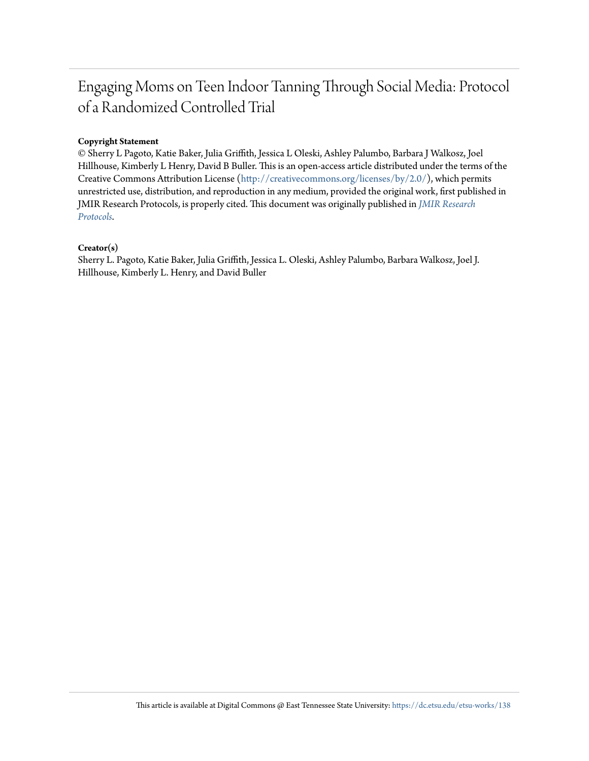# Engaging Moms on Teen Indoor Tanning Through Social Media: Protocol of a Randomized Controlled Trial

#### **Copyright Statement**

© Sherry L Pagoto, Katie Baker, Julia Griffith, Jessica L Oleski, Ashley Palumbo, Barbara J Walkosz, Joel Hillhouse, Kimberly L Henry, David B Buller. This is an open-access article distributed under the terms of the Creative Commons Attribution License ([http://creativecommons.org/licenses/by/2.0/\)](http://creativecommons.org/licenses/by/2.0/), which permits unrestricted use, distribution, and reproduction in any medium, provided the original work, first published in JMIR Research Protocols, is properly cited. This document was originally published in *[JMIR Research](https://doi.org/10.2196/resprot.6624) [Protocols](https://doi.org/10.2196/resprot.6624)*.

#### **Creator(s)**

Sherry L. Pagoto, Katie Baker, Julia Griffith, Jessica L. Oleski, Ashley Palumbo, Barbara Walkosz, Joel J. Hillhouse, Kimberly L. Henry, and David Buller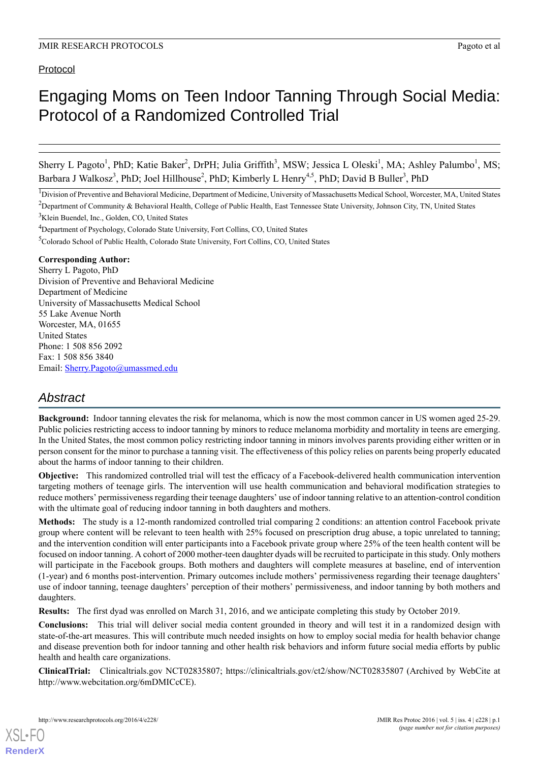### Protocol

# Engaging Moms on Teen Indoor Tanning Through Social Media: Protocol of a Randomized Controlled Trial

Sherry L Pagoto<sup>1</sup>, PhD; Katie Baker<sup>2</sup>, DrPH; Julia Griffith<sup>3</sup>, MSW; Jessica L Oleski<sup>1</sup>, MA; Ashley Palumbo<sup>1</sup>, MS; Barbara J Walkosz<sup>3</sup>, PhD; Joel Hillhouse<sup>2</sup>, PhD; Kimberly L Henry<sup>4,5</sup>, PhD; David B Buller<sup>3</sup>, PhD

<sup>1</sup>Division of Preventive and Behavioral Medicine, Department of Medicine, University of Massachusetts Medical School, Worcester, MA, United States

<sup>2</sup>Department of Community & Behavioral Health, College of Public Health, East Tennessee State University, Johnson City, TN, United States <sup>3</sup>Klein Buendel, Inc., Golden, CO, United States

<sup>4</sup>Department of Psychology, Colorado State University, Fort Collins, CO, United States

<sup>5</sup>Colorado School of Public Health, Colorado State University, Fort Collins, CO, United States

#### **Corresponding Author:**

Sherry L Pagoto, PhD Division of Preventive and Behavioral Medicine Department of Medicine University of Massachusetts Medical School 55 Lake Avenue North Worcester, MA, 01655 United States Phone: 1 508 856 2092 Fax: 1 508 856 3840 Email: [Sherry.Pagoto@umassmed.edu](mailto:Sherry.Pagoto@umassmed.edu)

# *Abstract*

**Background:** Indoor tanning elevates the risk for melanoma, which is now the most common cancer in US women aged 25-29. Public policies restricting access to indoor tanning by minors to reduce melanoma morbidity and mortality in teens are emerging. In the United States, the most common policy restricting indoor tanning in minors involves parents providing either written or in person consent for the minor to purchase a tanning visit. The effectiveness of this policy relies on parents being properly educated about the harms of indoor tanning to their children.

**Objective:** This randomized controlled trial will test the efficacy of a Facebook-delivered health communication intervention targeting mothers of teenage girls. The intervention will use health communication and behavioral modification strategies to reduce mothers' permissiveness regarding their teenage daughters' use of indoor tanning relative to an attention-control condition with the ultimate goal of reducing indoor tanning in both daughters and mothers.

**Methods:** The study is a 12-month randomized controlled trial comparing 2 conditions: an attention control Facebook private group where content will be relevant to teen health with 25% focused on prescription drug abuse, a topic unrelated to tanning; and the intervention condition will enter participants into a Facebook private group where 25% of the teen health content will be focused on indoor tanning. A cohort of 2000 mother-teen daughter dyads will be recruited to participate in this study. Only mothers will participate in the Facebook groups. Both mothers and daughters will complete measures at baseline, end of intervention (1-year) and 6 months post-intervention. Primary outcomes include mothers' permissiveness regarding their teenage daughters' use of indoor tanning, teenage daughters' perception of their mothers' permissiveness, and indoor tanning by both mothers and daughters.

**Results:** The first dyad was enrolled on March 31, 2016, and we anticipate completing this study by October 2019.

**Conclusions:** This trial will deliver social media content grounded in theory and will test it in a randomized design with state-of-the-art measures. This will contribute much needed insights on how to employ social media for health behavior change and disease prevention both for indoor tanning and other health risk behaviors and inform future social media efforts by public health and health care organizations.

**ClinicalTrial:** Clinicaltrials.gov NCT02835807; https://clinicaltrials.gov/ct2/show/NCT02835807 (Archived by WebCite at http://www.webcitation.org/6mDMICcCE).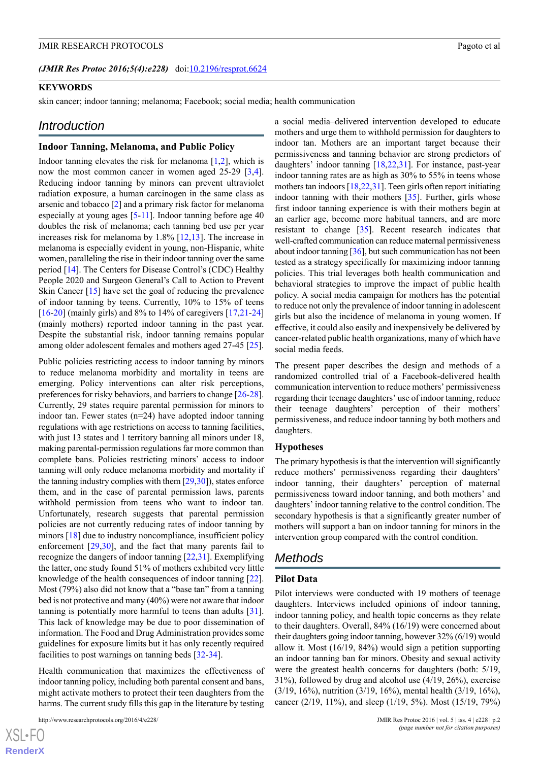#### *(JMIR Res Protoc 2016;5(4):e228)* doi[:10.2196/resprot.6624](http://dx.doi.org/10.2196/resprot.6624)

#### **KEYWORDS**

skin cancer; indoor tanning; melanoma; Facebook; social media; health communication

#### *Introduction*

#### **Indoor Tanning, Melanoma, and Public Policy**

Indoor tanning elevates the risk for melanoma  $[1,2]$  $[1,2]$  $[1,2]$ , which is now the most common cancer in women aged 25-29 [\[3](#page-10-2),[4\]](#page-10-3). Reducing indoor tanning by minors can prevent ultraviolet radiation exposure, a human carcinogen in the same class as arsenic and tobacco [\[2](#page-10-1)] and a primary risk factor for melanoma especially at young ages [\[5](#page-10-4)-[11](#page-10-5)]. Indoor tanning before age 40 doubles the risk of melanoma; each tanning bed use per year increases risk for melanoma by 1.8% [[12,](#page-10-6)[13](#page-10-7)]. The increase in melanoma is especially evident in young, non-Hispanic, white women, paralleling the rise in their indoor tanning over the same period [[14\]](#page-10-8). The Centers for Disease Control's (CDC) Healthy People 2020 and Surgeon General's Call to Action to Prevent Skin Cancer [\[15](#page-10-9)] have set the goal of reducing the prevalence of indoor tanning by teens. Currently, 10% to 15% of teens [[16](#page-10-10)[-20](#page-10-11)] (mainly girls) and 8% to 14% of caregivers [\[17](#page-10-12),[21](#page-10-13)[-24](#page-10-14)] (mainly mothers) reported indoor tanning in the past year. Despite the substantial risk, indoor tanning remains popular among older adolescent females and mothers aged 27-45 [[25\]](#page-11-0).

Public policies restricting access to indoor tanning by minors to reduce melanoma morbidity and mortality in teens are emerging. Policy interventions can alter risk perceptions, preferences for risky behaviors, and barriers to change [\[26](#page-11-1)-[28\]](#page-11-2). Currently, 29 states require parental permission for minors to indoor tan. Fewer states (n=24) have adopted indoor tanning regulations with age restrictions on access to tanning facilities, with just 13 states and 1 territory banning all minors under 18, making parental-permission regulations far more common than complete bans. Policies restricting minors' access to indoor tanning will only reduce melanoma morbidity and mortality if the tanning industry complies with them [[29](#page-11-3)[,30](#page-11-4)]), states enforce them, and in the case of parental permission laws, parents withhold permission from teens who want to indoor tan. Unfortunately, research suggests that parental permission policies are not currently reducing rates of indoor tanning by minors [[18\]](#page-10-15) due to industry noncompliance, insufficient policy enforcement [\[29](#page-11-3),[30\]](#page-11-4), and the fact that many parents fail to recognize the dangers of indoor tanning [\[22](#page-10-16),[31\]](#page-11-5). Exemplifying the latter, one study found 51% of mothers exhibited very little knowledge of the health consequences of indoor tanning [[22\]](#page-10-16). Most (79%) also did not know that a "base tan" from a tanning bed is not protective and many (40%) were not aware that indoor tanning is potentially more harmful to teens than adults [[31\]](#page-11-5). This lack of knowledge may be due to poor dissemination of information. The Food and Drug Administration provides some guidelines for exposure limits but it has only recently required facilities to post warnings on tanning beds [\[32](#page-11-6)[-34](#page-11-7)].

Health communication that maximizes the effectiveness of indoor tanning policy, including both parental consent and bans, might activate mothers to protect their teen daughters from the harms. The current study fills this gap in the literature by testing

```
http://www.researchprotocols.org/2016/4/e228/ JMIR Res Protoc 2016 | vol. 5 | iss. 4 | e228 | p.2
```
a social media–delivered intervention developed to educate mothers and urge them to withhold permission for daughters to indoor tan. Mothers are an important target because their permissiveness and tanning behavior are strong predictors of daughters' indoor tanning [[18,](#page-10-15)[22](#page-10-16),[31\]](#page-11-5). For instance, past-year indoor tanning rates are as high as 30% to 55% in teens whose mothers tan indoors [\[18](#page-10-15),[22,](#page-10-16)[31](#page-11-5)]. Teen girls often report initiating indoor tanning with their mothers [\[35](#page-11-8)]. Further, girls whose first indoor tanning experience is with their mothers begin at an earlier age, become more habitual tanners, and are more resistant to change [\[35](#page-11-8)]. Recent research indicates that well-crafted communication can reduce maternal permissiveness about indoor tanning [[36\]](#page-11-9), but such communication has not been tested as a strategy specifically for maximizing indoor tanning policies. This trial leverages both health communication and behavioral strategies to improve the impact of public health policy. A social media campaign for mothers has the potential to reduce not only the prevalence of indoor tanning in adolescent girls but also the incidence of melanoma in young women. If effective, it could also easily and inexpensively be delivered by cancer-related public health organizations, many of which have social media feeds.

The present paper describes the design and methods of a randomized controlled trial of a Facebook-delivered health communication intervention to reduce mothers' permissiveness regarding their teenage daughters' use of indoor tanning, reduce their teenage daughters' perception of their mothers' permissiveness, and reduce indoor tanning by both mothers and daughters.

#### **Hypotheses**

The primary hypothesis is that the intervention will significantly reduce mothers' permissiveness regarding their daughters' indoor tanning, their daughters' perception of maternal permissiveness toward indoor tanning, and both mothers' and daughters' indoor tanning relative to the control condition. The secondary hypothesis is that a significantly greater number of mothers will support a ban on indoor tanning for minors in the intervention group compared with the control condition.

#### *Methods*

#### **Pilot Data**

Pilot interviews were conducted with 19 mothers of teenage daughters. Interviews included opinions of indoor tanning, indoor tanning policy, and health topic concerns as they relate to their daughters. Overall, 84% (16/19) were concerned about their daughters going indoor tanning, however 32% (6/19) would allow it. Most (16/19, 84%) would sign a petition supporting an indoor tanning ban for minors. Obesity and sexual activity were the greatest health concerns for daughters (both: 5/19, 31%), followed by drug and alcohol use (4/19, 26%), exercise (3/19, 16%), nutrition (3/19, 16%), mental health (3/19, 16%), cancer (2/19, 11%), and sleep (1/19, 5%). Most (15/19, 79%)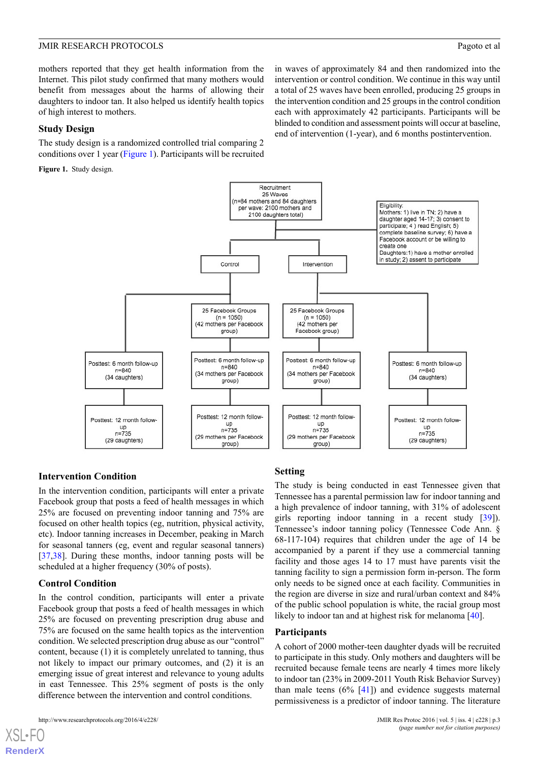mothers reported that they get health information from the Internet. This pilot study confirmed that many mothers would benefit from messages about the harms of allowing their daughters to indoor tan. It also helped us identify health topics of high interest to mothers.

#### **Study Design**

<span id="page-4-0"></span>The study design is a randomized controlled trial comparing 2 conditions over 1 year [\(Figure 1\)](#page-4-0). Participants will be recruited

**Figure 1.** Study design.

in waves of approximately 84 and then randomized into the intervention or control condition. We continue in this way until a total of 25 waves have been enrolled, producing 25 groups in the intervention condition and 25 groups in the control condition each with approximately 42 participants. Participants will be blinded to condition and assessment points will occur at baseline, end of intervention (1-year), and 6 months postintervention.



#### **Intervention Condition**

In the intervention condition, participants will enter a private Facebook group that posts a feed of health messages in which 25% are focused on preventing indoor tanning and 75% are focused on other health topics (eg, nutrition, physical activity, etc). Indoor tanning increases in December, peaking in March for seasonal tanners (eg, event and regular seasonal tanners) [[37](#page-11-10)[,38](#page-11-11)]. During these months, indoor tanning posts will be scheduled at a higher frequency (30% of posts).

#### **Control Condition**

In the control condition, participants will enter a private Facebook group that posts a feed of health messages in which 25% are focused on preventing prescription drug abuse and 75% are focused on the same health topics as the intervention condition. We selected prescription drug abuse as our "control" content, because (1) it is completely unrelated to tanning, thus not likely to impact our primary outcomes, and (2) it is an emerging issue of great interest and relevance to young adults in east Tennessee. This 25% segment of posts is the only difference between the intervention and control conditions.

[XSL](http://www.w3.org/Style/XSL)•FO **[RenderX](http://www.renderx.com/)**

#### **Setting**

The study is being conducted in east Tennessee given that Tennessee has a parental permission law for indoor tanning and a high prevalence of indoor tanning, with 31% of adolescent girls reporting indoor tanning in a recent study [[39\]](#page-11-12)). Tennessee's indoor tanning policy (Tennessee Code Ann. § 68-117-104) requires that children under the age of 14 be accompanied by a parent if they use a commercial tanning facility and those ages 14 to 17 must have parents visit the tanning facility to sign a permission form in-person. The form only needs to be signed once at each facility. Communities in the region are diverse in size and rural/urban context and 84% of the public school population is white, the racial group most likely to indoor tan and at highest risk for melanoma [[40\]](#page-11-13).

#### **Participants**

A cohort of 2000 mother-teen daughter dyads will be recruited to participate in this study. Only mothers and daughters will be recruited because female teens are nearly 4 times more likely to indoor tan (23% in 2009-2011 Youth Risk Behavior Survey) than male teens  $(6\%$  [\[41](#page-11-14)]) and evidence suggests maternal permissiveness is a predictor of indoor tanning. The literature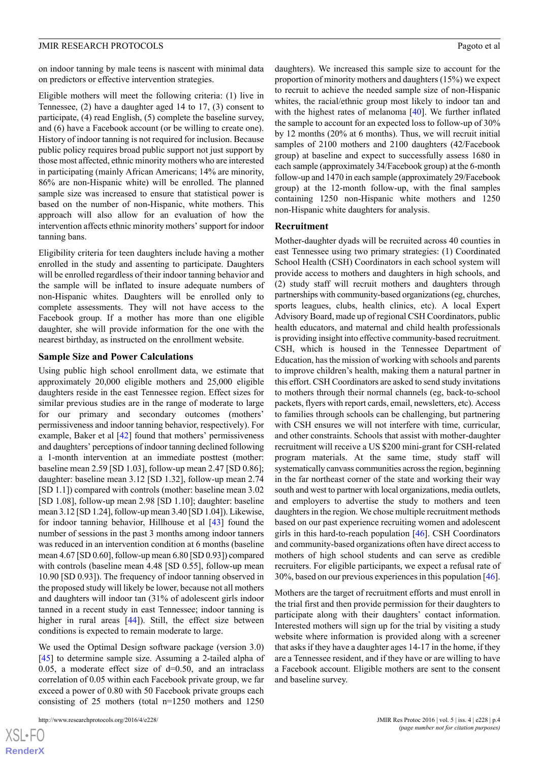on indoor tanning by male teens is nascent with minimal data on predictors or effective intervention strategies.

Eligible mothers will meet the following criteria: (1) live in Tennessee, (2) have a daughter aged 14 to 17, (3) consent to participate, (4) read English, (5) complete the baseline survey, and (6) have a Facebook account (or be willing to create one). History of indoor tanning is not required for inclusion. Because public policy requires broad public support not just support by those most affected, ethnic minority mothers who are interested in participating (mainly African Americans; 14% are minority, 86% are non-Hispanic white) will be enrolled. The planned sample size was increased to ensure that statistical power is based on the number of non-Hispanic, white mothers. This approach will also allow for an evaluation of how the intervention affects ethnic minority mothers' support for indoor tanning bans.

Eligibility criteria for teen daughters include having a mother enrolled in the study and assenting to participate. Daughters will be enrolled regardless of their indoor tanning behavior and the sample will be inflated to insure adequate numbers of non-Hispanic whites. Daughters will be enrolled only to complete assessments. They will not have access to the Facebook group. If a mother has more than one eligible daughter, she will provide information for the one with the nearest birthday, as instructed on the enrollment website.

#### **Sample Size and Power Calculations**

Using public high school enrollment data, we estimate that approximately 20,000 eligible mothers and 25,000 eligible daughters reside in the east Tennessee region. Effect sizes for similar previous studies are in the range of moderate to large for our primary and secondary outcomes (mothers' permissiveness and indoor tanning behavior, respectively). For example, Baker et al [\[42](#page-11-15)] found that mothers' permissiveness and daughters' perceptions of indoor tanning declined following a 1-month intervention at an immediate posttest (mother: baseline mean 2.59 [SD 1.03], follow-up mean 2.47 [SD 0.86]; daughter: baseline mean 3.12 [SD 1.32], follow-up mean 2.74 [SD 1.1]) compared with controls (mother: baseline mean 3.02 [SD 1.08], follow-up mean 2.98 [SD 1.10]; daughter: baseline mean 3.12 [SD 1.24], follow-up mean 3.40 [SD 1.04]). Likewise, for indoor tanning behavior, Hillhouse et al [\[43](#page-11-16)] found the number of sessions in the past 3 months among indoor tanners was reduced in an intervention condition at 6 months (baseline mean 4.67 [SD 0.60], follow-up mean 6.80 [SD 0.93]) compared with controls (baseline mean 4.48 [SD 0.55], follow-up mean 10.90 [SD 0.93]). The frequency of indoor tanning observed in the proposed study will likely be lower, because not all mothers and daughters will indoor tan (31% of adolescent girls indoor tanned in a recent study in east Tennessee; indoor tanning is higher in rural areas [\[44](#page-11-17)]). Still, the effect size between conditions is expected to remain moderate to large.

We used the Optimal Design software package (version 3.0) [[45\]](#page-11-18) to determine sample size. Assuming a 2-tailed alpha of 0.05, a moderate effect size of  $d=0.50$ , and an intraclass correlation of 0.05 within each Facebook private group, we far exceed a power of 0.80 with 50 Facebook private groups each consisting of 25 mothers (total n=1250 mothers and 1250

[XSL](http://www.w3.org/Style/XSL)•FO **[RenderX](http://www.renderx.com/)** daughters). We increased this sample size to account for the proportion of minority mothers and daughters (15%) we expect to recruit to achieve the needed sample size of non-Hispanic whites, the racial/ethnic group most likely to indoor tan and with the highest rates of melanoma [[40\]](#page-11-13). We further inflated the sample to account for an expected loss to follow-up of 30% by 12 months (20% at 6 months). Thus, we will recruit initial samples of 2100 mothers and 2100 daughters (42/Facebook group) at baseline and expect to successfully assess 1680 in each sample (approximately 34/Facebook group) at the 6-month follow-up and 1470 in each sample (approximately 29/Facebook group) at the 12-month follow-up, with the final samples containing 1250 non-Hispanic white mothers and 1250 non-Hispanic white daughters for analysis.

#### **Recruitment**

Mother-daughter dyads will be recruited across 40 counties in east Tennessee using two primary strategies: (1) Coordinated School Health (CSH) Coordinators in each school system will provide access to mothers and daughters in high schools, and (2) study staff will recruit mothers and daughters through partnerships with community-based organizations (eg, churches, sports leagues, clubs, health clinics, etc). A local Expert Advisory Board, made up of regional CSH Coordinators, public health educators, and maternal and child health professionals is providing insight into effective community-based recruitment. CSH, which is housed in the Tennessee Department of Education, has the mission of working with schools and parents to improve children's health, making them a natural partner in this effort. CSH Coordinators are asked to send study invitations to mothers through their normal channels (eg, back-to-school packets, flyers with report cards, email, newsletters, etc). Access to families through schools can be challenging, but partnering with CSH ensures we will not interfere with time, curricular, and other constraints. Schools that assist with mother-daughter recruitment will receive a US \$200 mini-grant for CSH-related program materials. At the same time, study staff will systematically canvass communities across the region, beginning in the far northeast corner of the state and working their way south and west to partner with local organizations, media outlets, and employers to advertise the study to mothers and teen daughters in the region. We chose multiple recruitment methods based on our past experience recruiting women and adolescent girls in this hard-to-reach population [\[46](#page-11-19)]. CSH Coordinators and community-based organizations often have direct access to mothers of high school students and can serve as credible recruiters. For eligible participants, we expect a refusal rate of 30%, based on our previous experiences in this population [[46\]](#page-11-19).

Mothers are the target of recruitment efforts and must enroll in the trial first and then provide permission for their daughters to participate along with their daughters' contact information. Interested mothers will sign up for the trial by visiting a study website where information is provided along with a screener that asks if they have a daughter ages 14-17 in the home, if they are a Tennessee resident, and if they have or are willing to have a Facebook account. Eligible mothers are sent to the consent and baseline survey.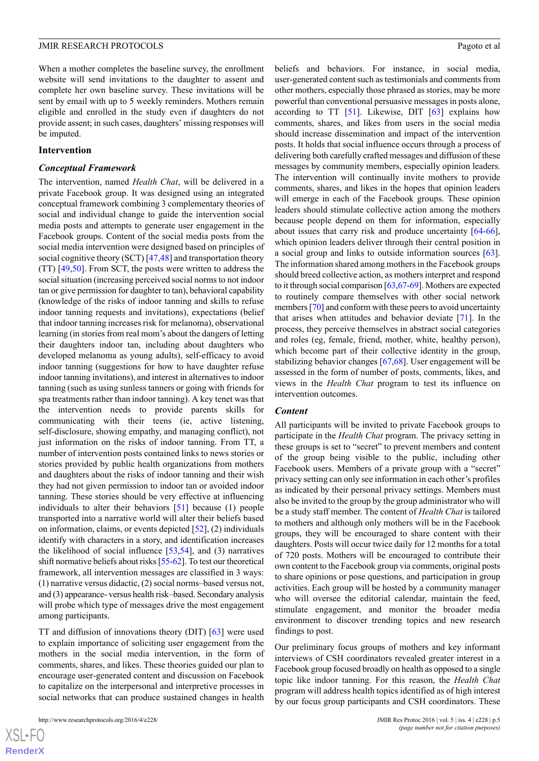When a mother completes the baseline survey, the enrollment website will send invitations to the daughter to assent and complete her own baseline survey. These invitations will be sent by email with up to 5 weekly reminders. Mothers remain eligible and enrolled in the study even if daughters do not provide assent; in such cases, daughters' missing responses will be imputed.

#### **Intervention**

#### *Conceptual Framework*

The intervention, named *Health Chat*, will be delivered in a private Facebook group. It was designed using an integrated conceptual framework combining 3 complementary theories of social and individual change to guide the intervention social media posts and attempts to generate user engagement in the Facebook groups. Content of the social media posts from the social media intervention were designed based on principles of social cognitive theory (SCT) [[47,](#page-11-20)[48](#page-11-21)] and transportation theory (TT) [\[49](#page-12-0),[50\]](#page-12-1). From SCT, the posts were written to address the social situation (increasing perceived social norms to not indoor tan or give permission for daughter to tan), behavioral capability (knowledge of the risks of indoor tanning and skills to refuse indoor tanning requests and invitations), expectations (belief that indoor tanning increases risk for melanoma), observational learning (in stories from real mom's about the dangers of letting their daughters indoor tan, including about daughters who developed melanoma as young adults), self-efficacy to avoid indoor tanning (suggestions for how to have daughter refuse indoor tanning invitations), and interest in alternatives to indoor tanning (such as using sunless tanners or going with friends for spa treatments rather than indoor tanning). A key tenet was that the intervention needs to provide parents skills for communicating with their teens (ie, active listening, self-disclosure, showing empathy, and managing conflict), not just information on the risks of indoor tanning. From TT, a number of intervention posts contained links to news stories or stories provided by public health organizations from mothers and daughters about the risks of indoor tanning and their wish they had not given permission to indoor tan or avoided indoor tanning. These stories should be very effective at influencing individuals to alter their behaviors [\[51](#page-12-2)] because (1) people transported into a narrative world will alter their beliefs based on information, claims, or events depicted [\[52](#page-12-3)], (2) individuals identify with characters in a story, and identification increases the likelihood of social influence [\[53](#page-12-4),[54\]](#page-12-5), and (3) narratives shift normative beliefs about risks [\[55-](#page-12-6)[62\]](#page-12-7). To test our theoretical framework, all intervention messages are classified in 3 ways: (1) narrative versus didactic, (2) social norms–based versus not, and (3) appearance- versus health risk–based. Secondary analysis will probe which type of messages drive the most engagement among participants.

TT and diffusion of innovations theory (DIT) [\[63](#page-12-8)] were used to explain importance of soliciting user engagement from the mothers in the social media intervention, in the form of comments, shares, and likes. These theories guided our plan to encourage user-generated content and discussion on Facebook to capitalize on the interpersonal and interpretive processes in social networks that can produce sustained changes in health

beliefs and behaviors. For instance, in social media, user-generated content such as testimonials and comments from other mothers, especially those phrased as stories, may be more powerful than conventional persuasive messages in posts alone, according to TT [\[51](#page-12-2)]. Likewise, DIT [[63\]](#page-12-8) explains how comments, shares, and likes from users in the social media should increase dissemination and impact of the intervention posts. It holds that social influence occurs through a process of delivering both carefully crafted messages and diffusion of these messages by community members, especially opinion leaders. The intervention will continually invite mothers to provide comments, shares, and likes in the hopes that opinion leaders will emerge in each of the Facebook groups. These opinion leaders should stimulate collective action among the mothers because people depend on them for information, especially about issues that carry risk and produce uncertainty [[64-](#page-12-9)[66\]](#page-12-10), which opinion leaders deliver through their central position in a social group and links to outside information sources [[63\]](#page-12-8). The information shared among mothers in the Facebook groups should breed collective action, as mothers interpret and respond to it through social comparison [[63](#page-12-8),[67-](#page-12-11)[69](#page-12-12)]. Mothers are expected to routinely compare themselves with other social network members [[70\]](#page-12-13) and conform with these peers to avoid uncertainty that arises when attitudes and behavior deviate [[71\]](#page-12-14). In the process, they perceive themselves in abstract social categories and roles (eg, female, friend, mother, white, healthy person), which become part of their collective identity in the group, stabilizing behavior changes [[67](#page-12-11)[,68](#page-12-15)]. User engagement will be assessed in the form of number of posts, comments, likes, and views in the *Health Chat* program to test its influence on intervention outcomes.

#### *Content*

All participants will be invited to private Facebook groups to participate in the *Health Chat* program. The privacy setting in these groups is set to "secret" to prevent members and content of the group being visible to the public, including other Facebook users. Members of a private group with a "secret" privacy setting can only see information in each other's profiles as indicated by their personal privacy settings. Members must also be invited to the group by the group administrator who will be a study staff member. The content of *Health Chat* is tailored to mothers and although only mothers will be in the Facebook groups, they will be encouraged to share content with their daughters. Posts will occur twice daily for 12 months for a total of 720 posts. Mothers will be encouraged to contribute their own content to the Facebook group via comments, original posts to share opinions or pose questions, and participation in group activities. Each group will be hosted by a community manager who will oversee the editorial calendar, maintain the feed, stimulate engagement, and monitor the broader media environment to discover trending topics and new research findings to post.

Our preliminary focus groups of mothers and key informant interviews of CSH coordinators revealed greater interest in a Facebook group focused broadly on health as opposed to a single topic like indoor tanning. For this reason, the *Health Chat* program will address health topics identified as of high interest by our focus group participants and CSH coordinators. These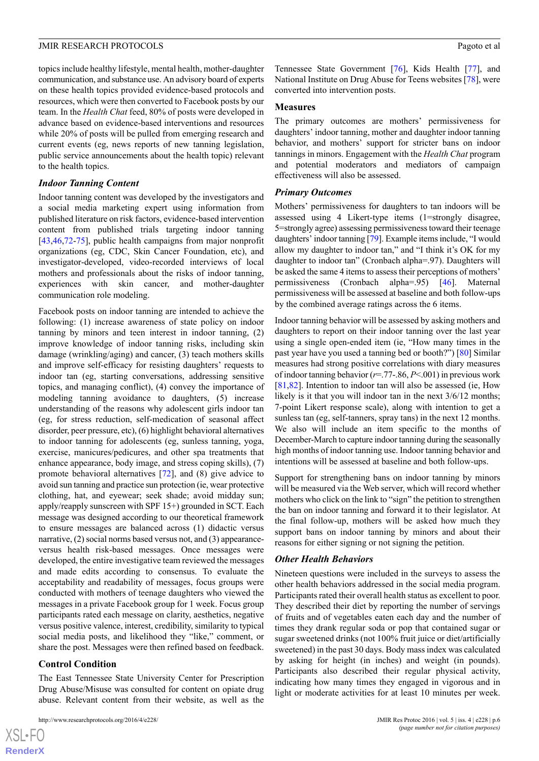topics include healthy lifestyle, mental health, mother-daughter communication, and substance use. An advisory board of experts on these health topics provided evidence-based protocols and resources, which were then converted to Facebook posts by our team. In the *Health Chat* feed, 80% of posts were developed in advance based on evidence-based interventions and resources while 20% of posts will be pulled from emerging research and current events (eg, news reports of new tanning legislation, public service announcements about the health topic) relevant to the health topics.

#### *Indoor Tanning Content*

Indoor tanning content was developed by the investigators and a social media marketing expert using information from published literature on risk factors, evidence-based intervention content from published trials targeting indoor tanning [[43](#page-11-16)[,46](#page-11-19),[72](#page-12-16)[-75](#page-12-17)], public health campaigns from major nonprofit organizations (eg, CDC, Skin Cancer Foundation, etc), and investigator-developed, video-recorded interviews of local mothers and professionals about the risks of indoor tanning, experiences with skin cancer, and mother-daughter communication role modeling.

Facebook posts on indoor tanning are intended to achieve the following: (1) increase awareness of state policy on indoor tanning by minors and teen interest in indoor tanning, (2) improve knowledge of indoor tanning risks, including skin damage (wrinkling/aging) and cancer, (3) teach mothers skills and improve self-efficacy for resisting daughters' requests to indoor tan (eg, starting conversations, addressing sensitive topics, and managing conflict), (4) convey the importance of modeling tanning avoidance to daughters, (5) increase understanding of the reasons why adolescent girls indoor tan (eg, for stress reduction, self-medication of seasonal affect disorder, peer pressure, etc), (6) highlight behavioral alternatives to indoor tanning for adolescents (eg, sunless tanning, yoga, exercise, manicures/pedicures, and other spa treatments that enhance appearance, body image, and stress coping skills), (7) promote behavioral alternatives [\[72](#page-12-16)], and (8) give advice to avoid sun tanning and practice sun protection (ie, wear protective clothing, hat, and eyewear; seek shade; avoid midday sun; apply/reapply sunscreen with SPF 15+) grounded in SCT. Each message was designed according to our theoretical framework to ensure messages are balanced across (1) didactic versus narrative, (2) social norms based versus not, and (3) appearanceversus health risk-based messages. Once messages were developed, the entire investigative team reviewed the messages and made edits according to consensus. To evaluate the acceptability and readability of messages, focus groups were conducted with mothers of teenage daughters who viewed the messages in a private Facebook group for 1 week. Focus group participants rated each message on clarity, aesthetics, negative versus positive valence, interest, credibility, similarity to typical social media posts, and likelihood they "like," comment, or share the post. Messages were then refined based on feedback.

#### **Control Condition**

 $XS$  $\cdot$ FC **[RenderX](http://www.renderx.com/)**

The East Tennessee State University Center for Prescription Drug Abuse/Misuse was consulted for content on opiate drug abuse. Relevant content from their website, as well as the

Tennessee State Government [[76\]](#page-12-18), Kids Health [[77\]](#page-12-19), and National Institute on Drug Abuse for Teens websites [[78\]](#page-12-20), were converted into intervention posts.

#### **Measures**

The primary outcomes are mothers' permissiveness for daughters' indoor tanning, mother and daughter indoor tanning behavior, and mothers' support for stricter bans on indoor tannings in minors. Engagement with the *Health Chat* program and potential moderators and mediators of campaign effectiveness will also be assessed.

#### *Primary Outcomes*

Mothers' permissiveness for daughters to tan indoors will be assessed using 4 Likert-type items (1=strongly disagree, 5=strongly agree) assessing permissiveness toward their teenage daughters' indoor tanning [[79](#page-13-0)]. Example items include, "I would allow my daughter to indoor tan," and "I think it's OK for my daughter to indoor tan" (Cronbach alpha=.97). Daughters will be asked the same 4 items to assess their perceptions of mothers' permissiveness (Cronbach alpha=.95) [[46\]](#page-11-19). Maternal permissiveness will be assessed at baseline and both follow-ups by the combined average ratings across the 6 items.

Indoor tanning behavior will be assessed by asking mothers and daughters to report on their indoor tanning over the last year using a single open-ended item (ie, "How many times in the past year have you used a tanning bed or booth?") [[80\]](#page-13-1) Similar measures had strong positive correlations with diary measures of indoor tanning behavior (*r*=.77-.86, *P*<.001) in previous work [[81,](#page-13-2)[82\]](#page-13-3). Intention to indoor tan will also be assessed (ie, How likely is it that you will indoor tan in the next  $3/6/12$  months; 7-point Likert response scale), along with intention to get a sunless tan (eg, self-tanners, spray tans) in the next 12 months. We also will include an item specific to the months of December-March to capture indoor tanning during the seasonally high months of indoor tanning use. Indoor tanning behavior and intentions will be assessed at baseline and both follow-ups.

Support for strengthening bans on indoor tanning by minors will be measured via the Web server, which will record whether mothers who click on the link to "sign" the petition to strengthen the ban on indoor tanning and forward it to their legislator. At the final follow-up, mothers will be asked how much they support bans on indoor tanning by minors and about their reasons for either signing or not signing the petition.

#### *Other Health Behaviors*

Nineteen questions were included in the surveys to assess the other health behaviors addressed in the social media program. Participants rated their overall health status as excellent to poor. They described their diet by reporting the number of servings of fruits and of vegetables eaten each day and the number of times they drank regular soda or pop that contained sugar or sugar sweetened drinks (not 100% fruit juice or diet/artificially sweetened) in the past 30 days. Body mass index was calculated by asking for height (in inches) and weight (in pounds). Participants also described their regular physical activity, indicating how many times they engaged in vigorous and in light or moderate activities for at least 10 minutes per week.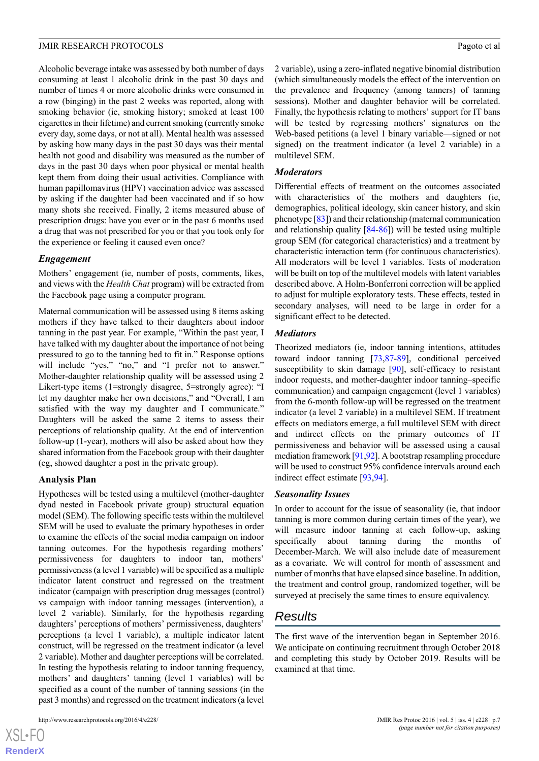Alcoholic beverage intake was assessed by both number of days consuming at least 1 alcoholic drink in the past 30 days and number of times 4 or more alcoholic drinks were consumed in a row (binging) in the past 2 weeks was reported, along with smoking behavior (ie, smoking history; smoked at least 100 cigarettes in their lifetime) and current smoking (currently smoke every day, some days, or not at all). Mental health was assessed by asking how many days in the past 30 days was their mental health not good and disability was measured as the number of days in the past 30 days when poor physical or mental health kept them from doing their usual activities. Compliance with human papillomavirus (HPV) vaccination advice was assessed by asking if the daughter had been vaccinated and if so how many shots she received. Finally, 2 items measured abuse of prescription drugs: have you ever or in the past 6 months used a drug that was not prescribed for you or that you took only for the experience or feeling it caused even once?

#### *Engagement*

Mothers' engagement (ie, number of posts, comments, likes, and views with the *Health Chat* program) will be extracted from the Facebook page using a computer program.

Maternal communication will be assessed using 8 items asking mothers if they have talked to their daughters about indoor tanning in the past year. For example, "Within the past year, I have talked with my daughter about the importance of not being pressured to go to the tanning bed to fit in." Response options will include "yes," "no," and "I prefer not to answer." Mother-daughter relationship quality will be assessed using 2 Likert-type items (1=strongly disagree, 5=strongly agree): "I let my daughter make her own decisions," and "Overall, I am satisfied with the way my daughter and I communicate." Daughters will be asked the same 2 items to assess their perceptions of relationship quality. At the end of intervention follow-up (1-year), mothers will also be asked about how they shared information from the Facebook group with their daughter (eg, showed daughter a post in the private group).

#### **Analysis Plan**

Hypotheses will be tested using a multilevel (mother-daughter dyad nested in Facebook private group) structural equation model (SEM). The following specific tests within the multilevel SEM will be used to evaluate the primary hypotheses in order to examine the effects of the social media campaign on indoor tanning outcomes. For the hypothesis regarding mothers' permissiveness for daughters to indoor tan, mothers' permissiveness (a level 1 variable) will be specified as a multiple indicator latent construct and regressed on the treatment indicator (campaign with prescription drug messages (control) vs campaign with indoor tanning messages (intervention), a level 2 variable). Similarly, for the hypothesis regarding daughters' perceptions of mothers' permissiveness, daughters' perceptions (a level 1 variable), a multiple indicator latent construct, will be regressed on the treatment indicator (a level 2 variable). Mother and daughter perceptions will be correlated. In testing the hypothesis relating to indoor tanning frequency, mothers' and daughters' tanning (level 1 variables) will be specified as a count of the number of tanning sessions (in the past 3 months) and regressed on the treatment indicators (a level

2 variable), using a zero-inflated negative binomial distribution (which simultaneously models the effect of the intervention on the prevalence and frequency (among tanners) of tanning sessions). Mother and daughter behavior will be correlated. Finally, the hypothesis relating to mothers' support for IT bans will be tested by regressing mothers' signatures on the Web-based petitions (a level 1 binary variable—signed or not signed) on the treatment indicator (a level 2 variable) in a multilevel SEM.

#### *Moderators*

Differential effects of treatment on the outcomes associated with characteristics of the mothers and daughters (ie, demographics, political ideology, skin cancer history, and skin phenotype [[83\]](#page-13-4)) and their relationship (maternal communication and relationship quality [\[84](#page-13-5)[-86](#page-13-6)]) will be tested using multiple group SEM (for categorical characteristics) and a treatment by characteristic interaction term (for continuous characteristics). All moderators will be level 1 variables. Tests of moderation will be built on top of the multilevel models with latent variables described above. A Holm-Bonferroni correction will be applied to adjust for multiple exploratory tests. These effects, tested in secondary analyses, will need to be large in order for a significant effect to be detected.

#### *Mediators*

Theorized mediators (ie, indoor tanning intentions, attitudes toward indoor tanning [[73,](#page-12-21)[87](#page-13-7)[-89](#page-13-8)], conditional perceived susceptibility to skin damage [\[90](#page-13-9)], self-efficacy to resistant indoor requests, and mother-daughter indoor tanning–specific communication) and campaign engagement (level 1 variables) from the 6-month follow-up will be regressed on the treatment indicator (a level 2 variable) in a multilevel SEM. If treatment effects on mediators emerge, a full multilevel SEM with direct and indirect effects on the primary outcomes of IT permissiveness and behavior will be assessed using a causal mediation framework [\[91](#page-13-10)[,92](#page-13-11)]. A bootstrap resampling procedure will be used to construct 95% confidence intervals around each indirect effect estimate [[93](#page-13-12)[,94](#page-13-13)].

#### *Seasonality Issues*

In order to account for the issue of seasonality (ie, that indoor tanning is more common during certain times of the year), we will measure indoor tanning at each follow-up, asking specifically about tanning during the months of December-March. We will also include date of measurement as a covariate. We will control for month of assessment and number of months that have elapsed since baseline. In addition, the treatment and control group, randomized together, will be surveyed at precisely the same times to ensure equivalency.

## *Results*

The first wave of the intervention began in September 2016. We anticipate on continuing recruitment through October 2018 and completing this study by October 2019. Results will be examined at that time.

 $XSJ \cdot F$ **[RenderX](http://www.renderx.com/)**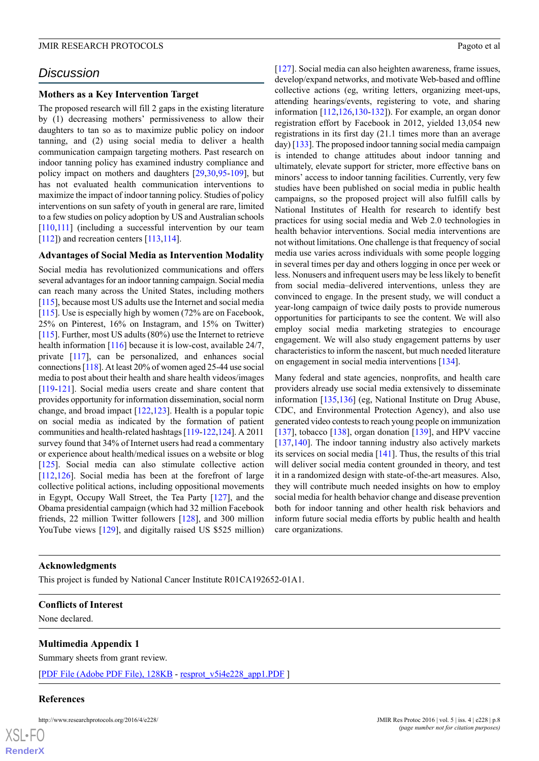### *Discussion*

#### **Mothers as a Key Intervention Target**

The proposed research will fill 2 gaps in the existing literature by (1) decreasing mothers' permissiveness to allow their daughters to tan so as to maximize public policy on indoor tanning, and (2) using social media to deliver a health communication campaign targeting mothers. Past research on indoor tanning policy has examined industry compliance and policy impact on mothers and daughters [[29](#page-11-3)[,30](#page-11-4),[95](#page-13-14)[-109](#page-14-0)], but has not evaluated health communication interventions to maximize the impact of indoor tanning policy. Studies of policy interventions on sun safety of youth in general are rare, limited to a few studies on policy adoption by US and Australian schools [[110](#page-14-1),[111](#page-14-2)] (including a successful intervention by our team [[112](#page-14-3)]) and recreation centers [\[113,](#page-14-4)[114\]](#page-14-5).

#### **Advantages of Social Media as Intervention Modality**

Social media has revolutionized communications and offers several advantages for an indoor tanning campaign. Social media can reach many across the United States, including mothers [[115](#page-14-6)], because most US adults use the Internet and social media [[115](#page-14-6)]. Use is especially high by women (72% are on Facebook, 25% on Pinterest, 16% on Instagram, and 15% on Twitter) [[115](#page-14-6)]. Further, most US adults (80%) use the Internet to retrieve health information [\[116\]](#page-14-7) because it is low-cost, available 24/7, private [\[117\]](#page-14-8), can be personalized, and enhances social connections [\[118\]](#page-14-9). At least 20% of women aged 25-44 use social media to post about their health and share health videos/images [[119](#page-14-10)-[121\]](#page-14-11). Social media users create and share content that provides opportunity for information dissemination, social norm change, and broad impact  $[122, 123]$  $[122, 123]$  $[122, 123]$  $[122, 123]$  $[122, 123]$ . Health is a popular topic on social media as indicated by the formation of patient communities and health-related hashtags [\[119](#page-14-10)-[122](#page-14-12),[124\]](#page-14-14). A 2011 survey found that 34% of Internet users had read a commentary or experience about health/medical issues on a website or blog [[125\]](#page-14-15). Social media can also stimulate collective action [[112](#page-14-3),[126\]](#page-14-16). Social media has been at the forefront of large collective political actions, including oppositional movements in Egypt, Occupy Wall Street, the Tea Party [[127\]](#page-14-17), and the Obama presidential campaign (which had 32 million Facebook friends, 22 million Twitter followers [[128\]](#page-14-18), and 300 million YouTube views [[129\]](#page-14-19), and digitally raised US \$525 million)

[[127\]](#page-14-17). Social media can also heighten awareness, frame issues, develop/expand networks, and motivate Web-based and offline collective actions (eg, writing letters, organizing meet-ups, attending hearings/events, registering to vote, and sharing information [[112](#page-14-3),[126](#page-14-16)[,130](#page-14-20)-[132\]](#page-15-0)). For example, an organ donor registration effort by Facebook in 2012, yielded 13,054 new registrations in its first day (21.1 times more than an average day) [\[133](#page-15-1)]. The proposed indoor tanning social media campaign is intended to change attitudes about indoor tanning and ultimately, elevate support for stricter, more effective bans on minors' access to indoor tanning facilities. Currently, very few studies have been published on social media in public health campaigns, so the proposed project will also fulfill calls by National Institutes of Health for research to identify best practices for using social media and Web 2.0 technologies in health behavior interventions. Social media interventions are not without limitations. One challenge is that frequency of social media use varies across individuals with some people logging in several times per day and others logging in once per week or less. Nonusers and infrequent users may be less likely to benefit from social media–delivered interventions, unless they are convinced to engage. In the present study, we will conduct a year-long campaign of twice daily posts to provide numerous opportunities for participants to see the content. We will also employ social media marketing strategies to encourage engagement. We will also study engagement patterns by user characteristics to inform the nascent, but much needed literature on engagement in social media interventions [[134\]](#page-15-2).

Many federal and state agencies, nonprofits, and health care providers already use social media extensively to disseminate information [\[135](#page-15-3),[136\]](#page-15-4) (eg, National Institute on Drug Abuse, CDC, and Environmental Protection Agency), and also use generated video contests to reach young people on immunization [[137\]](#page-15-5), tobacco [[138\]](#page-15-6), organ donation  $[139]$  $[139]$ , and HPV vaccine [[137](#page-15-5)[,140\]](#page-15-8). The indoor tanning industry also actively markets its services on social media [\[141](#page-15-9)]. Thus, the results of this trial will deliver social media content grounded in theory, and test it in a randomized design with state-of-the-art measures. Also, they will contribute much needed insights on how to employ social media for health behavior change and disease prevention both for indoor tanning and other health risk behaviors and inform future social media efforts by public health and health care organizations.

#### **Acknowledgments**

This project is funded by National Cancer Institute R01CA192652-01A1.

#### **Conflicts of Interest**

None declared.

#### **Multimedia Appendix 1**

Summary sheets from grant review.

[[PDF File \(Adobe PDF File\), 128KB](http://www.researchprotocols.org/article/downloadSuppFile/6624/42001) - [resprot\\_v5i4e228\\_app1.PDF](http://www.researchprotocols.org/article/downloadSuppFile/6624/42001) ]

#### **References**

 $XS$  $\cdot$ FC **[RenderX](http://www.renderx.com/)**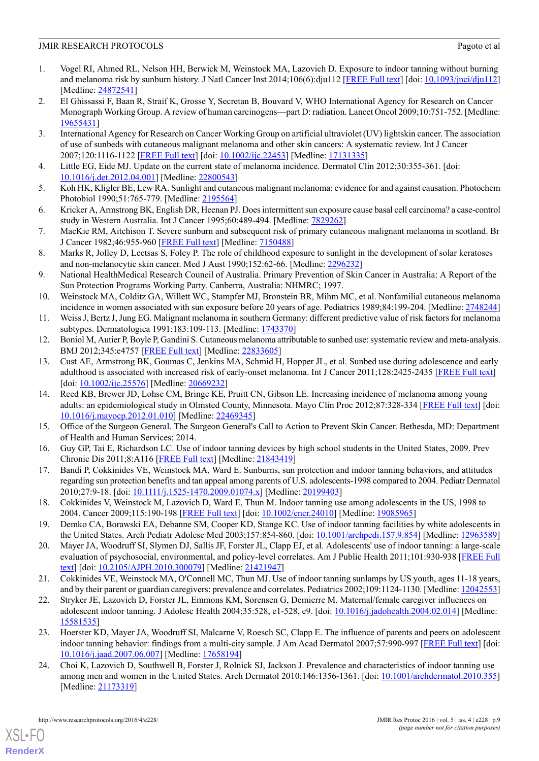- <span id="page-10-0"></span>1. Vogel RI, Ahmed RL, Nelson HH, Berwick M, Weinstock MA, Lazovich D. Exposure to indoor tanning without burning and melanoma risk by sunburn history. J Natl Cancer Inst 2014;106(6):dju112 [\[FREE Full text](http://jnci.oxfordjournals.org/cgi/pmidlookup?view=long&pmid=24872541)] [doi: [10.1093/jnci/dju112](http://dx.doi.org/10.1093/jnci/dju112)] [Medline: [24872541](http://www.ncbi.nlm.nih.gov/entrez/query.fcgi?cmd=Retrieve&db=PubMed&list_uids=24872541&dopt=Abstract)]
- <span id="page-10-1"></span>2. El Ghissassi F, Baan R, Straif K, Grosse Y, Secretan B, Bouvard V, WHO International Agency for Research on Cancer Monograph Working Group. A review of human carcinogens—part D: radiation. Lancet Oncol 2009;10:751-752. [Medline: [19655431](http://www.ncbi.nlm.nih.gov/entrez/query.fcgi?cmd=Retrieve&db=PubMed&list_uids=19655431&dopt=Abstract)]
- <span id="page-10-2"></span>3. International Agency for Research on Cancer Working Group on artificial ultraviolet (UV) lightskin cancer. The association of use of sunbeds with cutaneous malignant melanoma and other skin cancers: A systematic review. Int J Cancer 2007;120:1116-1122 [\[FREE Full text\]](http://dx.doi.org/10.1002/ijc.22453) [doi: [10.1002/ijc.22453\]](http://dx.doi.org/10.1002/ijc.22453) [Medline: [17131335](http://www.ncbi.nlm.nih.gov/entrez/query.fcgi?cmd=Retrieve&db=PubMed&list_uids=17131335&dopt=Abstract)]
- <span id="page-10-4"></span><span id="page-10-3"></span>4. Little EG, Eide MJ. Update on the current state of melanoma incidence. Dermatol Clin 2012;30:355-361. [doi: [10.1016/j.det.2012.04.001\]](http://dx.doi.org/10.1016/j.det.2012.04.001) [Medline: [22800543\]](http://www.ncbi.nlm.nih.gov/entrez/query.fcgi?cmd=Retrieve&db=PubMed&list_uids=22800543&dopt=Abstract)
- 5. Koh HK, Kligler BE, Lew RA. Sunlight and cutaneous malignant melanoma: evidence for and against causation. Photochem Photobiol 1990;51:765-779. [Medline: [2195564\]](http://www.ncbi.nlm.nih.gov/entrez/query.fcgi?cmd=Retrieve&db=PubMed&list_uids=2195564&dopt=Abstract)
- 6. Kricker A, Armstrong BK, English DR, Heenan PJ. Does intermittent sun exposure cause basal cell carcinoma? a case-control study in Western Australia. Int J Cancer 1995;60:489-494. [Medline: [7829262](http://www.ncbi.nlm.nih.gov/entrez/query.fcgi?cmd=Retrieve&db=PubMed&list_uids=7829262&dopt=Abstract)]
- 7. MacKie RM, Aitchison T. Severe sunburn and subsequent risk of primary cutaneous malignant melanoma in scotland. Br J Cancer 1982;46:955-960 [\[FREE Full text\]](http://europepmc.org/abstract/MED/7150488) [Medline: [7150488\]](http://www.ncbi.nlm.nih.gov/entrez/query.fcgi?cmd=Retrieve&db=PubMed&list_uids=7150488&dopt=Abstract)
- 8. Marks R, Jolley D, Lectsas S, Foley P. The role of childhood exposure to sunlight in the development of solar keratoses and non-melanocytic skin cancer. Med J Aust 1990;152:62-66. [Medline: [2296232](http://www.ncbi.nlm.nih.gov/entrez/query.fcgi?cmd=Retrieve&db=PubMed&list_uids=2296232&dopt=Abstract)]
- 9. National HealthMedical Research Council of Australia. Primary Prevention of Skin Cancer in Australia: A Report of the Sun Protection Programs Working Party. Canberra, Australia: NHMRC; 1997.
- <span id="page-10-6"></span><span id="page-10-5"></span>10. Weinstock MA, Colditz GA, Willett WC, Stampfer MJ, Bronstein BR, Mihm MC, et al. Nonfamilial cutaneous melanoma incidence in women associated with sun exposure before 20 years of age. Pediatrics 1989;84:199-204. [Medline: [2748244](http://www.ncbi.nlm.nih.gov/entrez/query.fcgi?cmd=Retrieve&db=PubMed&list_uids=2748244&dopt=Abstract)]
- <span id="page-10-7"></span>11. Weiss J, Bertz J, Jung EG. Malignant melanoma in southern Germany: different predictive value of risk factors for melanoma subtypes. Dermatologica 1991;183:109-113. [Medline: [1743370\]](http://www.ncbi.nlm.nih.gov/entrez/query.fcgi?cmd=Retrieve&db=PubMed&list_uids=1743370&dopt=Abstract)
- 12. Boniol M, Autier P, Boyle P, Gandini S. Cutaneous melanoma attributable to sunbed use: systematic review and meta-analysis. BMJ 2012;345:e4757 [\[FREE Full text\]](http://www.bmj.com/cgi/pmidlookup?view=long&pmid=22833605) [Medline: [22833605\]](http://www.ncbi.nlm.nih.gov/entrez/query.fcgi?cmd=Retrieve&db=PubMed&list_uids=22833605&dopt=Abstract)
- <span id="page-10-8"></span>13. Cust AE, Armstrong BK, Goumas C, Jenkins MA, Schmid H, Hopper JL, et al. Sunbed use during adolescence and early adulthood is associated with increased risk of early-onset melanoma. Int J Cancer 2011;128:2425-2435 [\[FREE Full text](http://dx.doi.org/10.1002/ijc.25576)] [doi: [10.1002/ijc.25576\]](http://dx.doi.org/10.1002/ijc.25576) [Medline: [20669232](http://www.ncbi.nlm.nih.gov/entrez/query.fcgi?cmd=Retrieve&db=PubMed&list_uids=20669232&dopt=Abstract)]
- <span id="page-10-10"></span><span id="page-10-9"></span>14. Reed KB, Brewer JD, Lohse CM, Bringe KE, Pruitt CN, Gibson LE. Increasing incidence of melanoma among young adults: an epidemiological study in Olmsted County, Minnesota. Mayo Clin Proc 2012;87:328-334 [\[FREE Full text\]](http://europepmc.org/abstract/MED/22469345) [doi: [10.1016/j.mayocp.2012.01.010](http://dx.doi.org/10.1016/j.mayocp.2012.01.010)] [Medline: [22469345\]](http://www.ncbi.nlm.nih.gov/entrez/query.fcgi?cmd=Retrieve&db=PubMed&list_uids=22469345&dopt=Abstract)
- <span id="page-10-12"></span>15. Office of the Surgeon General. The Surgeon General's Call to Action to Prevent Skin Cancer. Bethesda, MD: Department of Health and Human Services; 2014.
- <span id="page-10-15"></span>16. Guy GP, Tai E, Richardson LC. Use of indoor tanning devices by high school students in the United States, 2009. Prev Chronic Dis 2011;8:A116 [\[FREE Full text\]](https://www.cdc.gov/pcd/issues/2011/sep/10_0261.htm) [Medline: [21843419\]](http://www.ncbi.nlm.nih.gov/entrez/query.fcgi?cmd=Retrieve&db=PubMed&list_uids=21843419&dopt=Abstract)
- 17. Bandi P, Cokkinides VE, Weinstock MA, Ward E. Sunburns, sun protection and indoor tanning behaviors, and attitudes regarding sun protection benefits and tan appeal among parents of U.S. adolescents-1998 compared to 2004. Pediatr Dermatol 2010;27:9-18. [doi: [10.1111/j.1525-1470.2009.01074.x](http://dx.doi.org/10.1111/j.1525-1470.2009.01074.x)] [Medline: [20199403\]](http://www.ncbi.nlm.nih.gov/entrez/query.fcgi?cmd=Retrieve&db=PubMed&list_uids=20199403&dopt=Abstract)
- <span id="page-10-11"></span>18. Cokkinides V, Weinstock M, Lazovich D, Ward E, Thun M. Indoor tanning use among adolescents in the US, 1998 to 2004. Cancer 2009;115:190-198 [[FREE Full text](http://dx.doi.org/10.1002/cncr.24010)] [doi: [10.1002/cncr.24010\]](http://dx.doi.org/10.1002/cncr.24010) [Medline: [19085965](http://www.ncbi.nlm.nih.gov/entrez/query.fcgi?cmd=Retrieve&db=PubMed&list_uids=19085965&dopt=Abstract)]
- <span id="page-10-13"></span>19. Demko CA, Borawski EA, Debanne SM, Cooper KD, Stange KC. Use of indoor tanning facilities by white adolescents in the United States. Arch Pediatr Adolesc Med 2003;157:854-860. [doi: [10.1001/archpedi.157.9.854\]](http://dx.doi.org/10.1001/archpedi.157.9.854) [Medline: [12963589](http://www.ncbi.nlm.nih.gov/entrez/query.fcgi?cmd=Retrieve&db=PubMed&list_uids=12963589&dopt=Abstract)]
- <span id="page-10-16"></span>20. Mayer JA, Woodruff SI, Slymen DJ, Sallis JF, Forster JL, Clapp EJ, et al. Adolescents' use of indoor tanning: a large-scale evaluation of psychosocial, environmental, and policy-level correlates. Am J Public Health 2011;101:930-938 [[FREE Full](http://europepmc.org/abstract/MED/21421947) [text\]](http://europepmc.org/abstract/MED/21421947) [doi: [10.2105/AJPH.2010.300079\]](http://dx.doi.org/10.2105/AJPH.2010.300079) [Medline: [21421947\]](http://www.ncbi.nlm.nih.gov/entrez/query.fcgi?cmd=Retrieve&db=PubMed&list_uids=21421947&dopt=Abstract)
- 21. Cokkinides VE, Weinstock MA, O'Connell MC, Thun MJ. Use of indoor tanning sunlamps by US youth, ages 11-18 years, and by their parent or guardian caregivers: prevalence and correlates. Pediatrics 2002;109:1124-1130. [Medline: [12042553](http://www.ncbi.nlm.nih.gov/entrez/query.fcgi?cmd=Retrieve&db=PubMed&list_uids=12042553&dopt=Abstract)]
- <span id="page-10-14"></span>22. Stryker JE, Lazovich D, Forster JL, Emmons KM, Sorensen G, Demierre M. Maternal/female caregiver influences on adolescent indoor tanning. J Adolesc Health 2004;35:528, e1-528, e9. [doi: [10.1016/j.jadohealth.2004.02.014](http://dx.doi.org/10.1016/j.jadohealth.2004.02.014)] [Medline: [15581535](http://www.ncbi.nlm.nih.gov/entrez/query.fcgi?cmd=Retrieve&db=PubMed&list_uids=15581535&dopt=Abstract)]
- 23. Hoerster KD, Mayer JA, Woodruff SI, Malcarne V, Roesch SC, Clapp E. The influence of parents and peers on adolescent indoor tanning behavior: findings from a multi-city sample. J Am Acad Dermatol 2007;57:990-997 [[FREE Full text](http://europepmc.org/abstract/MED/17658194)] [doi: [10.1016/j.jaad.2007.06.007](http://dx.doi.org/10.1016/j.jaad.2007.06.007)] [Medline: [17658194\]](http://www.ncbi.nlm.nih.gov/entrez/query.fcgi?cmd=Retrieve&db=PubMed&list_uids=17658194&dopt=Abstract)
- 24. Choi K, Lazovich D, Southwell B, Forster J, Rolnick SJ, Jackson J. Prevalence and characteristics of indoor tanning use among men and women in the United States. Arch Dermatol 2010;146:1356-1361. [doi: [10.1001/archdermatol.2010.355](http://dx.doi.org/10.1001/archdermatol.2010.355)] [Medline: [21173319](http://www.ncbi.nlm.nih.gov/entrez/query.fcgi?cmd=Retrieve&db=PubMed&list_uids=21173319&dopt=Abstract)]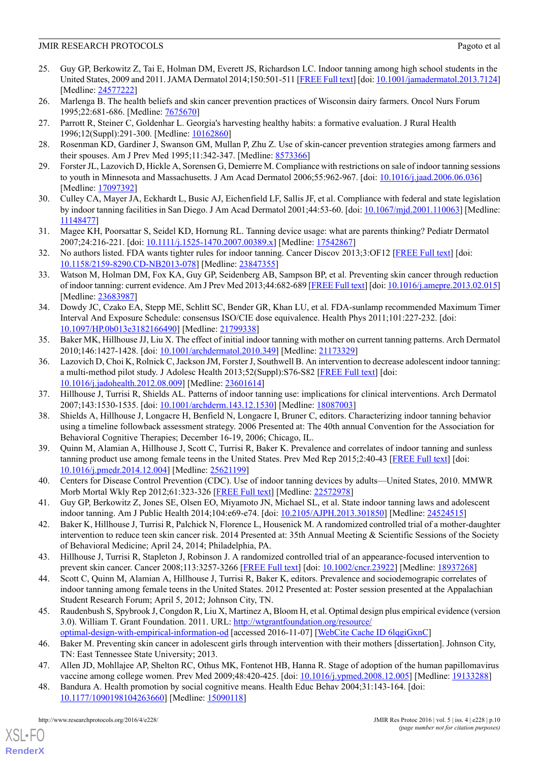- <span id="page-11-0"></span>25. Guy GP, Berkowitz Z, Tai E, Holman DM, Everett JS, Richardson LC. Indoor tanning among high school students in the United States, 2009 and 2011. JAMA Dermatol 2014;150:501-511 [\[FREE Full text\]](http://europepmc.org/abstract/MED/24577222) [doi: [10.1001/jamadermatol.2013.7124\]](http://dx.doi.org/10.1001/jamadermatol.2013.7124) [Medline: [24577222](http://www.ncbi.nlm.nih.gov/entrez/query.fcgi?cmd=Retrieve&db=PubMed&list_uids=24577222&dopt=Abstract)]
- <span id="page-11-1"></span>26. Marlenga B. The health beliefs and skin cancer prevention practices of Wisconsin dairy farmers. Oncol Nurs Forum 1995;22:681-686. [Medline: [7675670](http://www.ncbi.nlm.nih.gov/entrez/query.fcgi?cmd=Retrieve&db=PubMed&list_uids=7675670&dopt=Abstract)]
- <span id="page-11-2"></span>27. Parrott R, Steiner C, Goldenhar L. Georgia's harvesting healthy habits: a formative evaluation. J Rural Health 1996;12(Suppl):291-300. [Medline: [10162860](http://www.ncbi.nlm.nih.gov/entrez/query.fcgi?cmd=Retrieve&db=PubMed&list_uids=10162860&dopt=Abstract)]
- <span id="page-11-3"></span>28. Rosenman KD, Gardiner J, Swanson GM, Mullan P, Zhu Z. Use of skin-cancer prevention strategies among farmers and their spouses. Am J Prev Med 1995;11:342-347. [Medline: [8573366](http://www.ncbi.nlm.nih.gov/entrez/query.fcgi?cmd=Retrieve&db=PubMed&list_uids=8573366&dopt=Abstract)]
- <span id="page-11-4"></span>29. Forster JL, Lazovich D, Hickle A, Sorensen G, Demierre M. Compliance with restrictions on sale of indoor tanning sessions to youth in Minnesota and Massachusetts. J Am Acad Dermatol 2006;55:962-967. [doi: [10.1016/j.jaad.2006.06.036](http://dx.doi.org/10.1016/j.jaad.2006.06.036)] [Medline: [17097392](http://www.ncbi.nlm.nih.gov/entrez/query.fcgi?cmd=Retrieve&db=PubMed&list_uids=17097392&dopt=Abstract)]
- <span id="page-11-5"></span>30. Culley CA, Mayer JA, Eckhardt L, Busic AJ, Eichenfield LF, Sallis JF, et al. Compliance with federal and state legislation by indoor tanning facilities in San Diego. J Am Acad Dermatol 2001;44:53-60. [doi: [10.1067/mjd.2001.110063\]](http://dx.doi.org/10.1067/mjd.2001.110063) [Medline: [11148477\]](http://www.ncbi.nlm.nih.gov/entrez/query.fcgi?cmd=Retrieve&db=PubMed&list_uids=11148477&dopt=Abstract)
- <span id="page-11-6"></span>31. Magee KH, Poorsattar S, Seidel KD, Hornung RL. Tanning device usage: what are parents thinking? Pediatr Dermatol 2007;24:216-221. [doi: [10.1111/j.1525-1470.2007.00389.x](http://dx.doi.org/10.1111/j.1525-1470.2007.00389.x)] [Medline: [17542867\]](http://www.ncbi.nlm.nih.gov/entrez/query.fcgi?cmd=Retrieve&db=PubMed&list_uids=17542867&dopt=Abstract)
- 32. No authors listed. FDA wants tighter rules for indoor tanning. Cancer Discov 2013;3:OF12 [\[FREE Full text\]](http://cancerdiscovery.aacrjournals.org/cgi/pmidlookup?view=long&pmid=23847355) [doi: [10.1158/2159-8290.CD-NB2013-078\]](http://dx.doi.org/10.1158/2159-8290.CD-NB2013-078) [Medline: [23847355](http://www.ncbi.nlm.nih.gov/entrez/query.fcgi?cmd=Retrieve&db=PubMed&list_uids=23847355&dopt=Abstract)]
- <span id="page-11-7"></span>33. Watson M, Holman DM, Fox KA, Guy GP, Seidenberg AB, Sampson BP, et al. Preventing skin cancer through reduction of indoor tanning: current evidence. Am J Prev Med 2013;44:682-689 [\[FREE Full text\]](http://europepmc.org/abstract/MED/23683987) [doi: [10.1016/j.amepre.2013.02.015\]](http://dx.doi.org/10.1016/j.amepre.2013.02.015) [Medline: [23683987](http://www.ncbi.nlm.nih.gov/entrez/query.fcgi?cmd=Retrieve&db=PubMed&list_uids=23683987&dopt=Abstract)]
- <span id="page-11-8"></span>34. Dowdy JC, Czako EA, Stepp ME, Schlitt SC, Bender GR, Khan LU, et al. FDA-sunlamp recommended Maximum Timer Interval And Exposure Schedule: consensus ISO/CIE dose equivalence. Health Phys 2011;101:227-232. [doi: [10.1097/HP.0b013e3182166490](http://dx.doi.org/10.1097/HP.0b013e3182166490)] [Medline: [21799338](http://www.ncbi.nlm.nih.gov/entrez/query.fcgi?cmd=Retrieve&db=PubMed&list_uids=21799338&dopt=Abstract)]
- <span id="page-11-9"></span>35. Baker MK, Hillhouse JJ, Liu X. The effect of initial indoor tanning with mother on current tanning patterns. Arch Dermatol 2010;146:1427-1428. [doi: [10.1001/archdermatol.2010.349\]](http://dx.doi.org/10.1001/archdermatol.2010.349) [Medline: [21173329](http://www.ncbi.nlm.nih.gov/entrez/query.fcgi?cmd=Retrieve&db=PubMed&list_uids=21173329&dopt=Abstract)]
- <span id="page-11-11"></span><span id="page-11-10"></span>36. Lazovich D, Choi K, Rolnick C, Jackson JM, Forster J, Southwell B. An intervention to decrease adolescent indoor tanning: a multi-method pilot study. J Adolesc Health 2013;52(Suppl):S76-S82 [[FREE Full text](http://linkinghub.elsevier.com/retrieve/pii/S1054-139X(12)00353-9)] [doi: [10.1016/j.jadohealth.2012.08.009](http://dx.doi.org/10.1016/j.jadohealth.2012.08.009)] [Medline: [23601614\]](http://www.ncbi.nlm.nih.gov/entrez/query.fcgi?cmd=Retrieve&db=PubMed&list_uids=23601614&dopt=Abstract)
- <span id="page-11-12"></span>37. Hillhouse J, Turrisi R, Shields AL. Patterns of indoor tanning use: implications for clinical interventions. Arch Dermatol 2007;143:1530-1535. [doi: [10.1001/archderm.143.12.1530](http://dx.doi.org/10.1001/archderm.143.12.1530)] [Medline: [18087003\]](http://www.ncbi.nlm.nih.gov/entrez/query.fcgi?cmd=Retrieve&db=PubMed&list_uids=18087003&dopt=Abstract)
- 38. Shields A, Hillhouse J, Longacre H, Benfield N, Longacre I, Bruner C, editors. Characterizing indoor tanning behavior using a timeline followback assessment strategy. 2006 Presented at: The 40th annual Convention for the Association for Behavioral Cognitive Therapies; December 16-19, 2006; Chicago, IL.
- <span id="page-11-14"></span><span id="page-11-13"></span>39. Quinn M, Alamian A, Hillhouse J, Scott C, Turrisi R, Baker K. Prevalence and correlates of indoor tanning and sunless tanning product use among female teens in the United States. Prev Med Rep 2015;2:40-43 [[FREE Full text](http://europepmc.org/abstract/MED/25621199)] [doi: [10.1016/j.pmedr.2014.12.004](http://dx.doi.org/10.1016/j.pmedr.2014.12.004)] [Medline: [25621199\]](http://www.ncbi.nlm.nih.gov/entrez/query.fcgi?cmd=Retrieve&db=PubMed&list_uids=25621199&dopt=Abstract)
- <span id="page-11-15"></span>40. Centers for Disease Control Prevention (CDC). Use of indoor tanning devices by adults—United States, 2010. MMWR Morb Mortal Wkly Rep 2012;61:323-326 [[FREE Full text](http://www.cdc.gov/mmwr/preview/mmwrhtml/mm6118a2.htm)] [Medline: [22572978](http://www.ncbi.nlm.nih.gov/entrez/query.fcgi?cmd=Retrieve&db=PubMed&list_uids=22572978&dopt=Abstract)]
- <span id="page-11-16"></span>41. Guy GP, Berkowitz Z, Jones SE, Olsen EO, Miyamoto JN, Michael SL, et al. State indoor tanning laws and adolescent indoor tanning. Am J Public Health 2014;104:e69-e74. [doi: [10.2105/AJPH.2013.301850](http://dx.doi.org/10.2105/AJPH.2013.301850)] [Medline: [24524515](http://www.ncbi.nlm.nih.gov/entrez/query.fcgi?cmd=Retrieve&db=PubMed&list_uids=24524515&dopt=Abstract)]
- <span id="page-11-17"></span>42. Baker K, Hillhouse J, Turrisi R, Palchick N, Florence L, Housenick M. A randomized controlled trial of a mother-daughter intervention to reduce teen skin cancer risk. 2014 Presented at: 35th Annual Meeting & Scientific Sessions of the Society of Behavioral Medicine; April 24, 2014; Philadelphia, PA.
- <span id="page-11-18"></span>43. Hillhouse J, Turrisi R, Stapleton J, Robinson J. A randomized controlled trial of an appearance-focused intervention to prevent skin cancer. Cancer 2008;113:3257-3266 [[FREE Full text](http://dx.doi.org/10.1002/cncr.23922)] [doi: [10.1002/cncr.23922\]](http://dx.doi.org/10.1002/cncr.23922) [Medline: [18937268\]](http://www.ncbi.nlm.nih.gov/entrez/query.fcgi?cmd=Retrieve&db=PubMed&list_uids=18937268&dopt=Abstract)
- <span id="page-11-19"></span>44. Scott C, Quinn M, Alamian A, Hillhouse J, Turrisi R, Baker K, editors. Prevalence and sociodemograpic correlates of indoor tanning among female teens in the United States. 2012 Presented at: Poster session presented at the Appalachian Student Research Forum; April 5, 2012; Johnson City, TN.
- <span id="page-11-21"></span><span id="page-11-20"></span>45. Raudenbush S, Spybrook J, Congdon R, Liu X, Martinez A, Bloom H, et al. Optimal design plus empirical evidence (version 3.0). William T. Grant Foundation. 2011. URL: [http://wtgrantfoundation.org/resource/](http://wtgrantfoundation.org/resource/optimal-design-with-empirical-information-od)
- [optimal-design-with-empirical-information-od](http://wtgrantfoundation.org/resource/optimal-design-with-empirical-information-od) [accessed 2016-11-07] [\[WebCite Cache ID 6lqgiGxnC](http://www.webcitation.org/6lqgiGxnC)]
- 46. Baker M. Preventing skin cancer in adolescent girls through intervention with their mothers [dissertation]. Johnson City, TN: East Tennessee State University; 2013.
- 47. Allen JD, Mohllajee AP, Shelton RC, Othus MK, Fontenot HB, Hanna R. Stage of adoption of the human papillomavirus vaccine among college women. Prev Med 2009;48:420-425. [doi: [10.1016/j.ypmed.2008.12.005](http://dx.doi.org/10.1016/j.ypmed.2008.12.005)] [Medline: [19133288\]](http://www.ncbi.nlm.nih.gov/entrez/query.fcgi?cmd=Retrieve&db=PubMed&list_uids=19133288&dopt=Abstract)
- 48. Bandura A. Health promotion by social cognitive means. Health Educ Behav 2004;31:143-164. [doi: [10.1177/1090198104263660](http://dx.doi.org/10.1177/1090198104263660)] [Medline: [15090118\]](http://www.ncbi.nlm.nih.gov/entrez/query.fcgi?cmd=Retrieve&db=PubMed&list_uids=15090118&dopt=Abstract)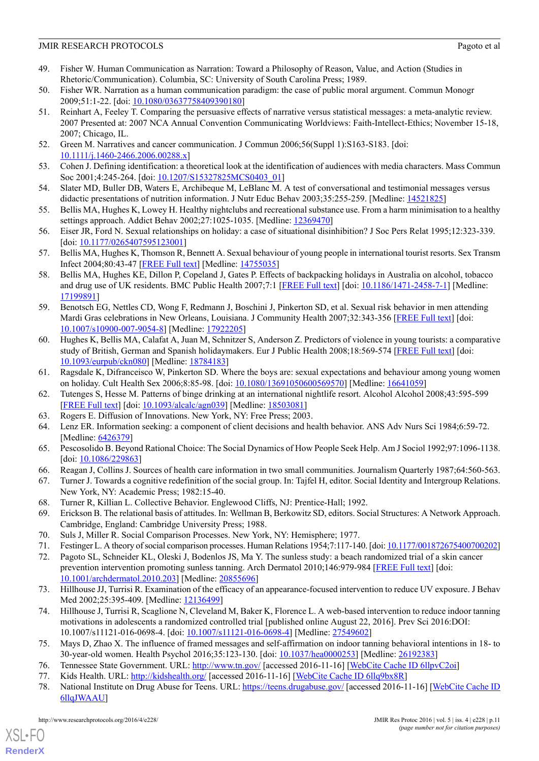- <span id="page-12-0"></span>49. Fisher W. Human Communication as Narration: Toward a Philosophy of Reason, Value, and Action (Studies in Rhetoric/Communication). Columbia, SC: University of South Carolina Press; 1989.
- <span id="page-12-2"></span><span id="page-12-1"></span>50. Fisher WR. Narration as a human communication paradigm: the case of public moral argument. Commun Monogr 2009;51:1-22. [doi: [10.1080/03637758409390180](http://dx.doi.org/10.1080/03637758409390180)]
- 51. Reinhart A, Feeley T. Comparing the persuasive effects of narrative versus statistical messages: a meta-analytic review. 2007 Presented at: 2007 NCA Annual Convention Communicating Worldviews: Faith-Intellect-Ethics; November 15-18, 2007; Chicago, IL.
- <span id="page-12-4"></span><span id="page-12-3"></span>52. Green M. Narratives and cancer communication. J Commun 2006;56(Suppl 1):S163-S183. [doi: [10.1111/j.1460-2466.2006.00288.x\]](http://dx.doi.org/10.1111/j.1460-2466.2006.00288.x)
- <span id="page-12-5"></span>53. Cohen J. Defining identification: a theoretical look at the identification of audiences with media characters. Mass Commun Soc 2001;4:245-264. [doi: [10.1207/S15327825MCS0403\\_01](http://dx.doi.org/10.1207/S15327825MCS0403_01)]
- <span id="page-12-6"></span>54. Slater MD, Buller DB, Waters E, Archibeque M, LeBlanc M. A test of conversational and testimonial messages versus didactic presentations of nutrition information. J Nutr Educ Behav 2003;35:255-259. [Medline: [14521825\]](http://www.ncbi.nlm.nih.gov/entrez/query.fcgi?cmd=Retrieve&db=PubMed&list_uids=14521825&dopt=Abstract)
- 55. Bellis MA, Hughes K, Lowey H. Healthy nightclubs and recreational substance use. From a harm minimisation to a healthy settings approach. Addict Behav 2002;27:1025-1035. [Medline: [12369470\]](http://www.ncbi.nlm.nih.gov/entrez/query.fcgi?cmd=Retrieve&db=PubMed&list_uids=12369470&dopt=Abstract)
- 56. Eiser JR, Ford N. Sexual relationships on holiday: a case of situational disinhibition? J Soc Pers Relat 1995;12:323-339. [doi: [10.1177/0265407595123001\]](http://dx.doi.org/10.1177/0265407595123001)
- 57. Bellis MA, Hughes K, Thomson R, Bennett A. Sexual behaviour of young people in international tourist resorts. Sex Transm Infect 2004;80:43-47 [\[FREE Full text\]](http://sti.bmj.com/cgi/pmidlookup?view=long&pmid=14755035) [Medline: [14755035](http://www.ncbi.nlm.nih.gov/entrez/query.fcgi?cmd=Retrieve&db=PubMed&list_uids=14755035&dopt=Abstract)]
- 58. Bellis MA, Hughes KE, Dillon P, Copeland J, Gates P. Effects of backpacking holidays in Australia on alcohol, tobacco and drug use of UK residents. BMC Public Health 2007;7:1 [[FREE Full text](http://bmcpublichealth.biomedcentral.com/articles/10.1186/1471-2458-7-1)] [doi: [10.1186/1471-2458-7-1](http://dx.doi.org/10.1186/1471-2458-7-1)] [Medline: [17199891](http://www.ncbi.nlm.nih.gov/entrez/query.fcgi?cmd=Retrieve&db=PubMed&list_uids=17199891&dopt=Abstract)]
- 59. Benotsch EG, Nettles CD, Wong F, Redmann J, Boschini J, Pinkerton SD, et al. Sexual risk behavior in men attending Mardi Gras celebrations in New Orleans, Louisiana. J Community Health 2007;32:343-356 [\[FREE Full text\]](http://europepmc.org/abstract/MED/17922205) [doi: [10.1007/s10900-007-9054-8\]](http://dx.doi.org/10.1007/s10900-007-9054-8) [Medline: [17922205](http://www.ncbi.nlm.nih.gov/entrez/query.fcgi?cmd=Retrieve&db=PubMed&list_uids=17922205&dopt=Abstract)]
- <span id="page-12-7"></span>60. Hughes K, Bellis MA, Calafat A, Juan M, Schnitzer S, Anderson Z. Predictors of violence in young tourists: a comparative study of British, German and Spanish holidaymakers. Eur J Public Health 2008;18:569-574 [\[FREE Full text\]](http://eurpub.oxfordjournals.org/cgi/pmidlookup?view=long&pmid=18784183) [doi: [10.1093/eurpub/ckn080\]](http://dx.doi.org/10.1093/eurpub/ckn080) [Medline: [18784183\]](http://www.ncbi.nlm.nih.gov/entrez/query.fcgi?cmd=Retrieve&db=PubMed&list_uids=18784183&dopt=Abstract)
- <span id="page-12-8"></span>61. Ragsdale K, Difranceisco W, Pinkerton SD. Where the boys are: sexual expectations and behaviour among young women on holiday. Cult Health Sex 2006;8:85-98. [doi: [10.1080/13691050600569570](http://dx.doi.org/10.1080/13691050600569570)] [Medline: [16641059\]](http://www.ncbi.nlm.nih.gov/entrez/query.fcgi?cmd=Retrieve&db=PubMed&list_uids=16641059&dopt=Abstract)
- <span id="page-12-9"></span>62. Tutenges S, Hesse M. Patterns of binge drinking at an international nightlife resort. Alcohol Alcohol 2008;43:595-599 [[FREE Full text](http://alcalc.oxfordjournals.org/cgi/pmidlookup?view=long&pmid=18503081)] [doi: [10.1093/alcalc/agn039](http://dx.doi.org/10.1093/alcalc/agn039)] [Medline: [18503081\]](http://www.ncbi.nlm.nih.gov/entrez/query.fcgi?cmd=Retrieve&db=PubMed&list_uids=18503081&dopt=Abstract)
- 63. Rogers E. Diffusion of Innovations. New York, NY: Free Press; 2003.
- <span id="page-12-11"></span><span id="page-12-10"></span>64. Lenz ER. Information seeking: a component of client decisions and health behavior. ANS Adv Nurs Sci 1984;6:59-72. [Medline: [6426379](http://www.ncbi.nlm.nih.gov/entrez/query.fcgi?cmd=Retrieve&db=PubMed&list_uids=6426379&dopt=Abstract)]
- <span id="page-12-15"></span>65. Pescosolido B. Beyond Rational Choice: The Social Dynamics of How People Seek Help. Am J Sociol 1992;97:1096-1138. [doi: [10.1086/229863](http://dx.doi.org/10.1086/229863)]
- <span id="page-12-12"></span>66. Reagan J, Collins J. Sources of health care information in two small communities. Journalism Quarterly 1987;64:560-563.
- <span id="page-12-13"></span>67. Turner J. Towards a cognitive redefinition of the social group. In: Tajfel H, editor. Social Identity and Intergroup Relations. New York, NY: Academic Press; 1982:15-40.
- <span id="page-12-16"></span><span id="page-12-14"></span>68. Turner R, Killian L. Collective Behavior. Englewood Cliffs, NJ: Prentice-Hall; 1992.
- 69. Erickson B. The relational basis of attitudes. In: Wellman B, Berkowitz SD, editors. Social Structures: A Network Approach. Cambridge, England: Cambridge University Press; 1988.
- <span id="page-12-21"></span>70. Suls J, Miller R. Social Comparison Processes. New York, NY: Hemisphere; 1977.
- 71. Festinger L. A theory of social comparison processes. Human Relations 1954;7:117-140. [doi: [10.1177/001872675400700202\]](http://dx.doi.org/10.1177/001872675400700202)
- 72. Pagoto SL, Schneider KL, Oleski J, Bodenlos JS, Ma Y. The sunless study: a beach randomized trial of a skin cancer prevention intervention promoting sunless tanning. Arch Dermatol 2010;146:979-984 [\[FREE Full text\]](http://europepmc.org/abstract/MED/20855696) [doi: [10.1001/archdermatol.2010.203](http://dx.doi.org/10.1001/archdermatol.2010.203)] [Medline: [20855696](http://www.ncbi.nlm.nih.gov/entrez/query.fcgi?cmd=Retrieve&db=PubMed&list_uids=20855696&dopt=Abstract)]
- <span id="page-12-18"></span><span id="page-12-17"></span>73. Hillhouse JJ, Turrisi R. Examination of the efficacy of an appearance-focused intervention to reduce UV exposure. J Behav Med 2002;25:395-409. [Medline: [12136499](http://www.ncbi.nlm.nih.gov/entrez/query.fcgi?cmd=Retrieve&db=PubMed&list_uids=12136499&dopt=Abstract)]
- <span id="page-12-20"></span><span id="page-12-19"></span>74. Hillhouse J, Turrisi R, Scaglione N, Cleveland M, Baker K, Florence L. A web-based intervention to reduce indoor tanning motivations in adolescents a randomized controlled trial [published online August 22, 2016]. Prev Sci 2016:DOI: 10.1007/s11121-016-0698-4. [doi: [10.1007/s11121-016-0698-4\]](http://dx.doi.org/10.1007/s11121-016-0698-4) [Medline: [27549602](http://www.ncbi.nlm.nih.gov/entrez/query.fcgi?cmd=Retrieve&db=PubMed&list_uids=27549602&dopt=Abstract)]
- 75. Mays D, Zhao X. The influence of framed messages and self-affirmation on indoor tanning behavioral intentions in 18- to 30-year-old women. Health Psychol 2016;35:123-130. [doi: [10.1037/hea0000253\]](http://dx.doi.org/10.1037/hea0000253) [Medline: [26192383](http://www.ncbi.nlm.nih.gov/entrez/query.fcgi?cmd=Retrieve&db=PubMed&list_uids=26192383&dopt=Abstract)]
- 76. Tennessee State Government. URL: <http://www.tn.gov/> [accessed 2016-11-16] [[WebCite Cache ID 6llpvC2oi](http://www.webcitation.org/6llpvC2oi)]
- 77. Kids Health. URL: <http://kidshealth.org/> [accessed 2016-11-16] [[WebCite Cache ID 6llq9bx8R\]](http://www.webcitation.org/6llq9bx8R)
- 78. National Institute on Drug Abuse for Teens. URL:<https://teens.drugabuse.gov/> [accessed 2016-11-16] [\[WebCite Cache ID](http://www.webcitation.org/6llqJWAAU) [6llqJWAAU\]](http://www.webcitation.org/6llqJWAAU)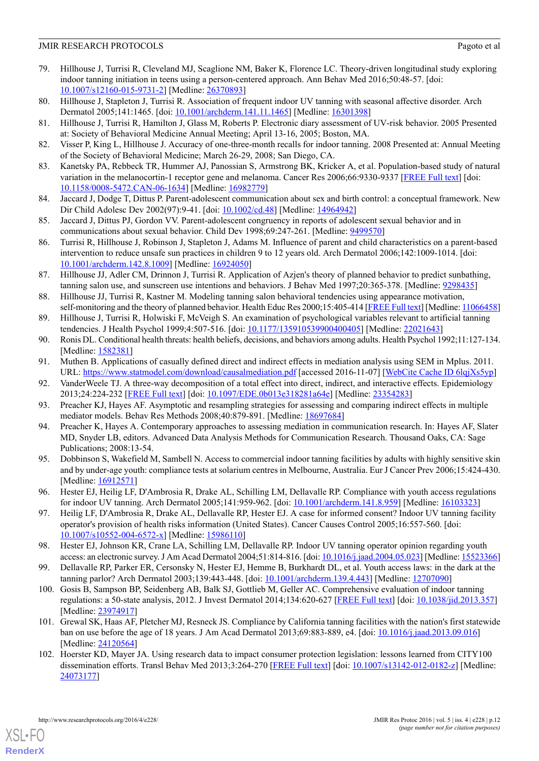- <span id="page-13-0"></span>79. Hillhouse J, Turrisi R, Cleveland MJ, Scaglione NM, Baker K, Florence LC. Theory-driven longitudinal study exploring indoor tanning initiation in teens using a person-centered approach. Ann Behav Med 2016;50:48-57. [doi: [10.1007/s12160-015-9731-2\]](http://dx.doi.org/10.1007/s12160-015-9731-2) [Medline: [26370893](http://www.ncbi.nlm.nih.gov/entrez/query.fcgi?cmd=Retrieve&db=PubMed&list_uids=26370893&dopt=Abstract)]
- <span id="page-13-2"></span><span id="page-13-1"></span>80. Hillhouse J, Stapleton J, Turrisi R. Association of frequent indoor UV tanning with seasonal affective disorder. Arch Dermatol 2005;141:1465. [doi: [10.1001/archderm.141.11.1465\]](http://dx.doi.org/10.1001/archderm.141.11.1465) [Medline: [16301398](http://www.ncbi.nlm.nih.gov/entrez/query.fcgi?cmd=Retrieve&db=PubMed&list_uids=16301398&dopt=Abstract)]
- <span id="page-13-3"></span>81. Hillhouse J, Turrisi R, Hamilton J, Glass M, Roberts P. Electronic diary assessment of UV-risk behavior. 2005 Presented at: Society of Behavioral Medicine Annual Meeting; April 13-16, 2005; Boston, MA.
- <span id="page-13-4"></span>82. Visser P, King L, Hillhouse J. Accuracy of one-three-month recalls for indoor tanning. 2008 Presented at: Annual Meeting of the Society of Behavioral Medicine; March 26-29, 2008; San Diego, CA.
- <span id="page-13-5"></span>83. Kanetsky PA, Rebbeck TR, Hummer AJ, Panossian S, Armstrong BK, Kricker A, et al. Population-based study of natural variation in the melanocortin-1 receptor gene and melanoma. Cancer Res 2006;66:9330-9337 [\[FREE Full text\]](http://cancerres.aacrjournals.org/cgi/pmidlookup?view=long&pmid=16982779) [doi: [10.1158/0008-5472.CAN-06-1634](http://dx.doi.org/10.1158/0008-5472.CAN-06-1634)] [Medline: [16982779\]](http://www.ncbi.nlm.nih.gov/entrez/query.fcgi?cmd=Retrieve&db=PubMed&list_uids=16982779&dopt=Abstract)
- 84. Jaccard J, Dodge T, Dittus P. Parent-adolescent communication about sex and birth control: a conceptual framework. New Dir Child Adolesc Dev 2002(97):9-41. [doi: [10.1002/cd.48\]](http://dx.doi.org/10.1002/cd.48) [Medline: [14964942](http://www.ncbi.nlm.nih.gov/entrez/query.fcgi?cmd=Retrieve&db=PubMed&list_uids=14964942&dopt=Abstract)]
- <span id="page-13-6"></span>85. Jaccard J, Dittus PJ, Gordon VV. Parent-adolescent congruency in reports of adolescent sexual behavior and in communications about sexual behavior. Child Dev 1998;69:247-261. [Medline: [9499570\]](http://www.ncbi.nlm.nih.gov/entrez/query.fcgi?cmd=Retrieve&db=PubMed&list_uids=9499570&dopt=Abstract)
- <span id="page-13-7"></span>86. Turrisi R, Hillhouse J, Robinson J, Stapleton J, Adams M. Influence of parent and child characteristics on a parent-based intervention to reduce unsafe sun practices in children 9 to 12 years old. Arch Dermatol 2006;142:1009-1014. [doi: [10.1001/archderm.142.8.1009](http://dx.doi.org/10.1001/archderm.142.8.1009)] [Medline: [16924050\]](http://www.ncbi.nlm.nih.gov/entrez/query.fcgi?cmd=Retrieve&db=PubMed&list_uids=16924050&dopt=Abstract)
- 87. Hillhouse JJ, Adler CM, Drinnon J, Turrisi R. Application of Azjen's theory of planned behavior to predict sunbathing, tanning salon use, and sunscreen use intentions and behaviors. J Behav Med 1997;20:365-378. [Medline: [9298435](http://www.ncbi.nlm.nih.gov/entrez/query.fcgi?cmd=Retrieve&db=PubMed&list_uids=9298435&dopt=Abstract)]
- <span id="page-13-9"></span><span id="page-13-8"></span>88. Hillhouse JJ, Turrisi R, Kastner M. Modeling tanning salon behavioral tendencies using appearance motivation, self-monitoring and the theory of planned behavior. Health Educ Res 2000;15:405-414 [[FREE Full text\]](http://her.oxfordjournals.org/cgi/pmidlookup?view=long&pmid=11066458) [Medline: [11066458\]](http://www.ncbi.nlm.nih.gov/entrez/query.fcgi?cmd=Retrieve&db=PubMed&list_uids=11066458&dopt=Abstract)
- <span id="page-13-10"></span>89. Hillhouse J, Turrisi R, Holwiski F, McVeigh S. An examination of psychological variables relevant to artificial tanning tendencies. J Health Psychol 1999;4:507-516. [doi: [10.1177/135910539900400405](http://dx.doi.org/10.1177/135910539900400405)] [Medline: [22021643](http://www.ncbi.nlm.nih.gov/entrez/query.fcgi?cmd=Retrieve&db=PubMed&list_uids=22021643&dopt=Abstract)]
- <span id="page-13-11"></span>90. Ronis DL. Conditional health threats: health beliefs, decisions, and behaviors among adults. Health Psychol 1992;11:127-134. [Medline: [1582381](http://www.ncbi.nlm.nih.gov/entrez/query.fcgi?cmd=Retrieve&db=PubMed&list_uids=1582381&dopt=Abstract)]
- <span id="page-13-12"></span>91. Muthen B. Applications of casually defined direct and indirect effects in mediation analysis using SEM in Mplus. 2011. URL: <https://www.statmodel.com/download/causalmediation.pdf> [accessed 2016-11-07] [[WebCite Cache ID 6lqjXs5yp](http://www.webcitation.org/6lqjXs5yp)]
- <span id="page-13-13"></span>92. VanderWeele TJ. A three-way decomposition of a total effect into direct, indirect, and interactive effects. Epidemiology 2013;24:224-232 [\[FREE Full text\]](http://europepmc.org/abstract/MED/23354283) [doi: [10.1097/EDE.0b013e318281a64e](http://dx.doi.org/10.1097/EDE.0b013e318281a64e)] [Medline: [23354283](http://www.ncbi.nlm.nih.gov/entrez/query.fcgi?cmd=Retrieve&db=PubMed&list_uids=23354283&dopt=Abstract)]
- <span id="page-13-14"></span>93. Preacher KJ, Hayes AF. Asymptotic and resampling strategies for assessing and comparing indirect effects in multiple mediator models. Behav Res Methods 2008;40:879-891. [Medline: [18697684](http://www.ncbi.nlm.nih.gov/entrez/query.fcgi?cmd=Retrieve&db=PubMed&list_uids=18697684&dopt=Abstract)]
- 94. Preacher K, Hayes A. Contemporary approaches to assessing mediation in communication research. In: Hayes AF, Slater MD, Snyder LB, editors. Advanced Data Analysis Methods for Communication Research. Thousand Oaks, CA: Sage Publications; 2008:13-54.
- 95. Dobbinson S, Wakefield M, Sambell N. Access to commercial indoor tanning facilities by adults with highly sensitive skin and by under-age youth: compliance tests at solarium centres in Melbourne, Australia. Eur J Cancer Prev 2006;15:424-430. [Medline: [16912571](http://www.ncbi.nlm.nih.gov/entrez/query.fcgi?cmd=Retrieve&db=PubMed&list_uids=16912571&dopt=Abstract)]
- 96. Hester EJ, Heilig LF, D'Ambrosia R, Drake AL, Schilling LM, Dellavalle RP. Compliance with youth access regulations for indoor UV tanning. Arch Dermatol 2005;141:959-962. [doi: [10.1001/archderm.141.8.959\]](http://dx.doi.org/10.1001/archderm.141.8.959) [Medline: [16103323](http://www.ncbi.nlm.nih.gov/entrez/query.fcgi?cmd=Retrieve&db=PubMed&list_uids=16103323&dopt=Abstract)]
- 97. Heilig LF, D'Ambrosia R, Drake AL, Dellavalle RP, Hester EJ. A case for informed consent? Indoor UV tanning facility operator's provision of health risks information (United States). Cancer Causes Control 2005;16:557-560. [doi: [10.1007/s10552-004-6572-x\]](http://dx.doi.org/10.1007/s10552-004-6572-x) [Medline: [15986110](http://www.ncbi.nlm.nih.gov/entrez/query.fcgi?cmd=Retrieve&db=PubMed&list_uids=15986110&dopt=Abstract)]
- 98. Hester EJ, Johnson KR, Crane LA, Schilling LM, Dellavalle RP. Indoor UV tanning operator opinion regarding youth access: an electronic survey. J Am Acad Dermatol 2004;51:814-816. [doi: [10.1016/j.jaad.2004.05.023\]](http://dx.doi.org/10.1016/j.jaad.2004.05.023) [Medline: [15523366\]](http://www.ncbi.nlm.nih.gov/entrez/query.fcgi?cmd=Retrieve&db=PubMed&list_uids=15523366&dopt=Abstract)
- 99. Dellavalle RP, Parker ER, Cersonsky N, Hester EJ, Hemme B, Burkhardt DL, et al. Youth access laws: in the dark at the tanning parlor? Arch Dermatol 2003;139:443-448. [doi: [10.1001/archderm.139.4.443](http://dx.doi.org/10.1001/archderm.139.4.443)] [Medline: [12707090\]](http://www.ncbi.nlm.nih.gov/entrez/query.fcgi?cmd=Retrieve&db=PubMed&list_uids=12707090&dopt=Abstract)
- 100. Gosis B, Sampson BP, Seidenberg AB, Balk SJ, Gottlieb M, Geller AC. Comprehensive evaluation of indoor tanning regulations: a 50-state analysis, 2012. J Invest Dermatol 2014;134:620-627 [[FREE Full text](http://linkinghub.elsevier.com/retrieve/pii/S0022-202X(15)36669-0)] [doi: [10.1038/jid.2013.357](http://dx.doi.org/10.1038/jid.2013.357)] [Medline: [23974917](http://www.ncbi.nlm.nih.gov/entrez/query.fcgi?cmd=Retrieve&db=PubMed&list_uids=23974917&dopt=Abstract)]
- 101. Grewal SK, Haas AF, Pletcher MJ, Resneck JS. Compliance by California tanning facilities with the nation's first statewide ban on use before the age of 18 years. J Am Acad Dermatol 2013;69:883-889, e4. [doi: [10.1016/j.jaad.2013.09.016](http://dx.doi.org/10.1016/j.jaad.2013.09.016)] [Medline: [24120564](http://www.ncbi.nlm.nih.gov/entrez/query.fcgi?cmd=Retrieve&db=PubMed&list_uids=24120564&dopt=Abstract)]
- 102. Hoerster KD, Mayer JA. Using research data to impact consumer protection legislation: lessons learned from CITY100 dissemination efforts. Transl Behav Med 2013;3:264-270 [[FREE Full text](http://europepmc.org/abstract/MED/24073177)] [doi: [10.1007/s13142-012-0182-z\]](http://dx.doi.org/10.1007/s13142-012-0182-z) [Medline: [24073177](http://www.ncbi.nlm.nih.gov/entrez/query.fcgi?cmd=Retrieve&db=PubMed&list_uids=24073177&dopt=Abstract)]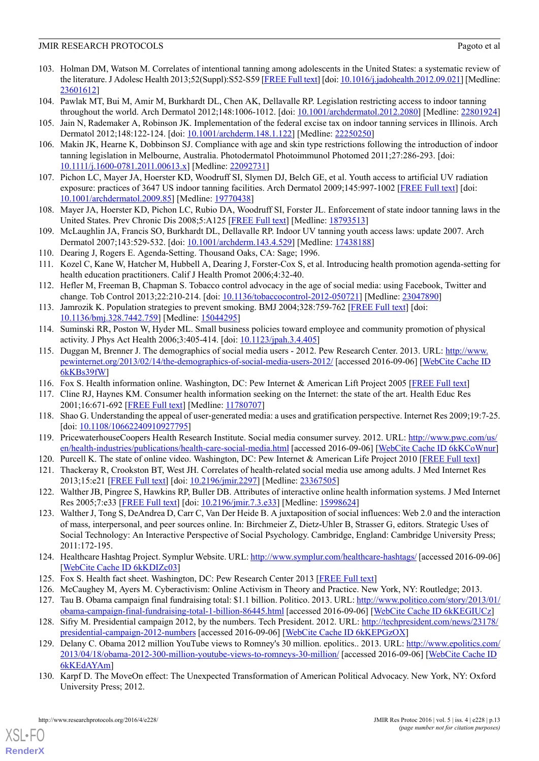- 103. Holman DM, Watson M. Correlates of intentional tanning among adolescents in the United States: a systematic review of the literature. J Adolesc Health 2013;52(Suppl):S52-S59 [\[FREE Full text\]](http://linkinghub.elsevier.com/retrieve/pii/S1054-139X(12)00416-8) [doi: [10.1016/j.jadohealth.2012.09.021\]](http://dx.doi.org/10.1016/j.jadohealth.2012.09.021) [Medline: [23601612](http://www.ncbi.nlm.nih.gov/entrez/query.fcgi?cmd=Retrieve&db=PubMed&list_uids=23601612&dopt=Abstract)]
- 104. Pawlak MT, Bui M, Amir M, Burkhardt DL, Chen AK, Dellavalle RP. Legislation restricting access to indoor tanning throughout the world. Arch Dermatol 2012;148:1006-1012. [doi: [10.1001/archdermatol.2012.2080\]](http://dx.doi.org/10.1001/archdermatol.2012.2080) [Medline: [22801924](http://www.ncbi.nlm.nih.gov/entrez/query.fcgi?cmd=Retrieve&db=PubMed&list_uids=22801924&dopt=Abstract)]
- 105. Jain N, Rademaker A, Robinson JK. Implementation of the federal excise tax on indoor tanning services in Illinois. Arch Dermatol 2012;148:122-124. [doi: [10.1001/archderm.148.1.122](http://dx.doi.org/10.1001/archderm.148.1.122)] [Medline: [22250250](http://www.ncbi.nlm.nih.gov/entrez/query.fcgi?cmd=Retrieve&db=PubMed&list_uids=22250250&dopt=Abstract)]
- 106. Makin JK, Hearne K, Dobbinson SJ. Compliance with age and skin type restrictions following the introduction of indoor tanning legislation in Melbourne, Australia. Photodermatol Photoimmunol Photomed 2011;27:286-293. [doi: [10.1111/j.1600-0781.2011.00613.x](http://dx.doi.org/10.1111/j.1600-0781.2011.00613.x)] [Medline: [22092731](http://www.ncbi.nlm.nih.gov/entrez/query.fcgi?cmd=Retrieve&db=PubMed&list_uids=22092731&dopt=Abstract)]
- 107. Pichon LC, Mayer JA, Hoerster KD, Woodruff SI, Slymen DJ, Belch GE, et al. Youth access to artificial UV radiation exposure: practices of 3647 US indoor tanning facilities. Arch Dermatol 2009;145:997-1002 [\[FREE Full text\]](http://europepmc.org/abstract/MED/19770438) [doi: [10.1001/archdermatol.2009.85\]](http://dx.doi.org/10.1001/archdermatol.2009.85) [Medline: [19770438](http://www.ncbi.nlm.nih.gov/entrez/query.fcgi?cmd=Retrieve&db=PubMed&list_uids=19770438&dopt=Abstract)]
- <span id="page-14-0"></span>108. Mayer JA, Hoerster KD, Pichon LC, Rubio DA, Woodruff SI, Forster JL. Enforcement of state indoor tanning laws in the United States. Prev Chronic Dis 2008;5:A125 [[FREE Full text](https://www.cdc.gov/pcd/issues/2008/Oct/07_0194.htm)] [Medline: [18793513\]](http://www.ncbi.nlm.nih.gov/entrez/query.fcgi?cmd=Retrieve&db=PubMed&list_uids=18793513&dopt=Abstract)
- <span id="page-14-2"></span><span id="page-14-1"></span>109. McLaughlin JA, Francis SO, Burkhardt DL, Dellavalle RP. Indoor UV tanning youth access laws: update 2007. Arch Dermatol 2007;143:529-532. [doi: [10.1001/archderm.143.4.529](http://dx.doi.org/10.1001/archderm.143.4.529)] [Medline: [17438188](http://www.ncbi.nlm.nih.gov/entrez/query.fcgi?cmd=Retrieve&db=PubMed&list_uids=17438188&dopt=Abstract)]
- <span id="page-14-3"></span>110. Dearing J, Rogers E. Agenda-Setting. Thousand Oaks, CA: Sage; 1996.
- 111. Kozel C, Kane W, Hatcher M, Hubbell A, Dearing J, Forster-Cox S, et al. Introducing health promotion agenda-setting for health education practitioners. Calif J Health Promot 2006;4:32-40.
- <span id="page-14-4"></span>112. Hefler M, Freeman B, Chapman S. Tobacco control advocacy in the age of social media: using Facebook, Twitter and change. Tob Control 2013;22:210-214. [doi: [10.1136/tobaccocontrol-2012-050721\]](http://dx.doi.org/10.1136/tobaccocontrol-2012-050721) [Medline: [23047890\]](http://www.ncbi.nlm.nih.gov/entrez/query.fcgi?cmd=Retrieve&db=PubMed&list_uids=23047890&dopt=Abstract)
- <span id="page-14-6"></span><span id="page-14-5"></span>113. Jamrozik K. Population strategies to prevent smoking. BMJ 2004;328:759-762 [[FREE Full text](http://europepmc.org/abstract/MED/15044295)] [doi: [10.1136/bmj.328.7442.759](http://dx.doi.org/10.1136/bmj.328.7442.759)] [Medline: [15044295](http://www.ncbi.nlm.nih.gov/entrez/query.fcgi?cmd=Retrieve&db=PubMed&list_uids=15044295&dopt=Abstract)]
- 114. Suminski RR, Poston W, Hyder ML. Small business policies toward employee and community promotion of physical activity. J Phys Act Health 2006;3:405-414. [doi: [10.1123/jpah.3.4.405](http://dx.doi.org/10.1123/jpah.3.4.405)]
- <span id="page-14-8"></span><span id="page-14-7"></span>115. Duggan M, Brenner J. The demographics of social media users - 2012. Pew Research Center. 2013. URL: [http://www.](http://www.pewinternet.org/2013/02/14/the-demographics-of-social-media-users-2012/) [pewinternet.org/2013/02/14/the-demographics-of-social-media-users-2012/](http://www.pewinternet.org/2013/02/14/the-demographics-of-social-media-users-2012/) [accessed 2016-09-06] [\[WebCite Cache ID](http://www.webcitation.org/6kKBs39fW) [6kKBs39fW](http://www.webcitation.org/6kKBs39fW)]
- <span id="page-14-9"></span>116. Fox S. Health information online. Washington, DC: Pew Internet & American Lift Project 2005 [\[FREE Full text\]](http://www.pewinternet.org/files/old-media/Files/Reports/2005/PIP_Healthtopics_May05.pdf.pdf)
- <span id="page-14-10"></span>117. Cline RJ, Haynes KM. Consumer health information seeking on the Internet: the state of the art. Health Educ Res 2001;16:671-692 [\[FREE Full text\]](http://her.oxfordjournals.org/cgi/pmidlookup?view=long&pmid=11780707) [Medline: [11780707](http://www.ncbi.nlm.nih.gov/entrez/query.fcgi?cmd=Retrieve&db=PubMed&list_uids=11780707&dopt=Abstract)]
- <span id="page-14-11"></span>Shao G. Understanding the appeal of user-generated media: a uses and gratification perspective. Internet Res 2009;19:7-25. [doi: [10.1108/10662240910927795\]](http://dx.doi.org/10.1108/10662240910927795)
- <span id="page-14-12"></span>119. PricewaterhouseCoopers Health Research Institute. Social media consumer survey. 2012. URL: [http://www.pwc.com/us/](http://www.pwc.com/us/en/health-industries/publications/health-care-social-media.html) [en/health-industries/publications/health-care-social-media.html](http://www.pwc.com/us/en/health-industries/publications/health-care-social-media.html) [accessed 2016-09-06] [\[WebCite Cache ID 6kKCoWnur\]](http://www.webcitation.org/6kKCoWnur)
- <span id="page-14-13"></span>120. Purcell K. The state of online video. Washington, DC: Pew Internet & American Life Project 2010 [[FREE Full text](http://www.pewinternet.org/~/media//Files/Reports/2010/PIP-The-State-of-Online-Video.pdf)]
- 121. Thackeray R, Crookston BT, West JH. Correlates of health-related social media use among adults. J Med Internet Res 2013;15:e21 [\[FREE Full text\]](http://www.jmir.org/2013/1/e21/) [doi: [10.2196/jmir.2297\]](http://dx.doi.org/10.2196/jmir.2297) [Medline: [23367505\]](http://www.ncbi.nlm.nih.gov/entrez/query.fcgi?cmd=Retrieve&db=PubMed&list_uids=23367505&dopt=Abstract)
- <span id="page-14-14"></span>122. Walther JB, Pingree S, Hawkins RP, Buller DB. Attributes of interactive online health information systems. J Med Internet Res 2005;7:e33 [[FREE Full text](http://www.jmir.org/2005/3/e33/)] [doi: [10.2196/jmir.7.3.e33\]](http://dx.doi.org/10.2196/jmir.7.3.e33) [Medline: [15998624\]](http://www.ncbi.nlm.nih.gov/entrez/query.fcgi?cmd=Retrieve&db=PubMed&list_uids=15998624&dopt=Abstract)
- <span id="page-14-16"></span><span id="page-14-15"></span>123. Walther J, Tong S, DeAndrea D, Carr C, Van Der Heide B. A juxtaposition of social influences: Web 2.0 and the interaction of mass, interpersonal, and peer sources online. In: Birchmeier Z, Dietz-Uhler B, Strasser G, editors. Strategic Uses of Social Technology: An Interactive Perspective of Social Psychology. Cambridge, England: Cambridge University Press; 2011:172-195.
- <span id="page-14-18"></span><span id="page-14-17"></span>124. Healthcare Hashtag Project. Symplur Website. URL:<http://www.symplur.com/healthcare-hashtags/> [accessed 2016-09-06] [[WebCite Cache ID 6kKDIZc03\]](http://www.webcitation.org/6kKDIZc03)
- <span id="page-14-19"></span>125. Fox S. Health fact sheet. Washington, DC: Pew Research Center 2013 [[FREE Full text](http://www.pewinternet.org/fact-sheets/health-fact-sheet/)]
- 126. McCaughey M, Ayers M. Cyberactivism: Online Activism in Theory and Practice. New York, NY: Routledge; 2013.
- <span id="page-14-20"></span>127. Tau B. Obama campaign final fundraising total: \$1.1 billion. Politico. 2013. URL: [http://www.politico.com/story/2013/01/](http://www.politico.com/story/2013/01/obama-campaign-final-fundraising-total-1-billion-86445.html) [obama-campaign-final-fundraising-total-1-billion-86445.html](http://www.politico.com/story/2013/01/obama-campaign-final-fundraising-total-1-billion-86445.html) [accessed 2016-09-06] [[WebCite Cache ID 6kKEGIUCz\]](http://www.webcitation.org/6kKEGIUCz)
- 128. Sifry M. Presidential campaign 2012, by the numbers. Tech President. 2012. URL: [http://techpresident.com/news/23178/](http://techpresident.com/news/23178/presidential-campaign-2012-numbers) [presidential-campaign-2012-numbers](http://techpresident.com/news/23178/presidential-campaign-2012-numbers) [accessed 2016-09-06] [\[WebCite Cache ID 6kKEPGzOX](http://www.webcitation.org/6kKEPGzOX)]
- 129. Delany C. Obama 2012 million YouTube views to Romney's 30 million. epolitics.. 2013. URL: [http://www.epolitics.com/](http://www.epolitics.com/2013/04/18/obama-2012-300-million-youtube-views-to-romneys-30-million/) [2013/04/18/obama-2012-300-million-youtube-views-to-romneys-30-million/](http://www.epolitics.com/2013/04/18/obama-2012-300-million-youtube-views-to-romneys-30-million/) [accessed 2016-09-06] [[WebCite Cache ID](http://www.webcitation.org/6kKEdAYAm) [6kKEdAYAm](http://www.webcitation.org/6kKEdAYAm)]
- 130. Karpf D. The MoveOn effect: The Unexpected Transformation of American Political Advocacy. New York, NY: Oxford University Press; 2012.